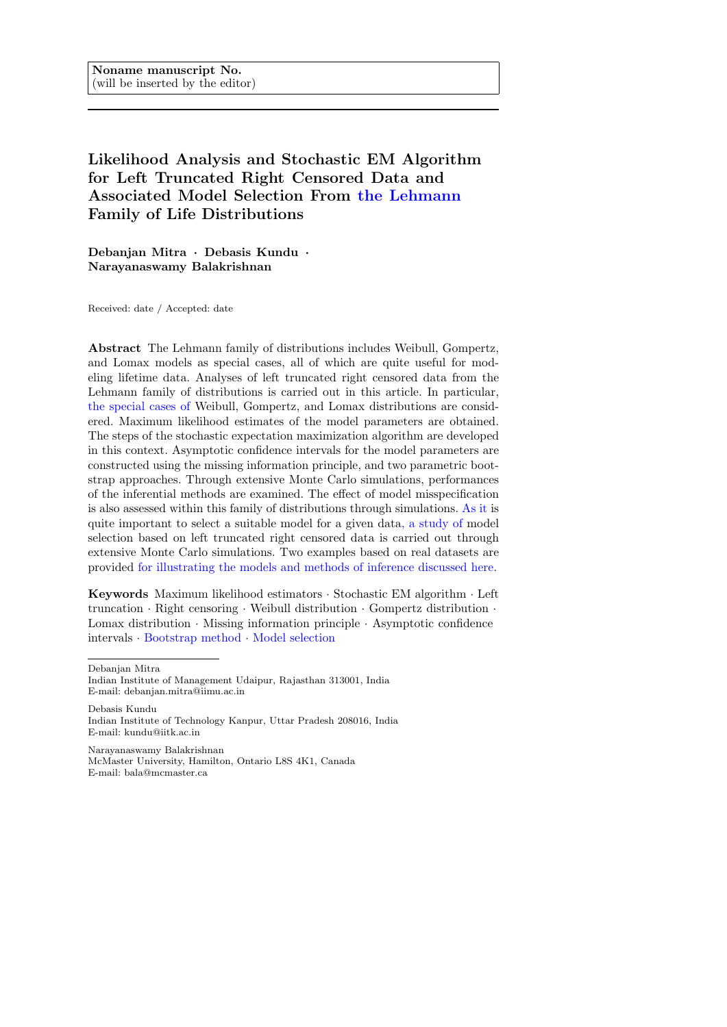# Likelihood Analysis and Stochastic EM Algorithm for Left Truncated Right Censored Data and Associated Model Selection From the Lehmann Family of Life Distributions

Debanjan Mitra · Debasis Kundu · Narayanaswamy Balakrishnan

Received: date / Accepted: date

Abstract The Lehmann family of distributions includes Weibull, Gompertz, and Lomax models as special cases, all of which are quite useful for modeling lifetime data. Analyses of left truncated right censored data from the Lehmann family of distributions is carried out in this article. In particular, the special cases of Weibull, Gompertz, and Lomax distributions are considered. Maximum likelihood estimates of the model parameters are obtained. The steps of the stochastic expectation maximization algorithm are developed in this context. Asymptotic confidence intervals for the model parameters are constructed using the missing information principle, and two parametric bootstrap approaches. Through extensive Monte Carlo simulations, performances of the inferential methods are examined. The effect of model misspecification is also assessed within this family of distributions through simulations. As it is quite important to select a suitable model for a given data, a study of model selection based on left truncated right censored data is carried out through extensive Monte Carlo simulations. Two examples based on real datasets are provided for illustrating the models and methods of inference discussed here.

Keywords Maximum likelihood estimators · Stochastic EM algorithm · Left truncation · Right censoring · Weibull distribution · Gompertz distribution · Lomax distribution  $\cdot$  Missing information principle  $\cdot$  Asymptotic confidence intervals · Bootstrap method · Model selection

Debanjan Mitra

Debasis Kundu Indian Institute of Technology Kanpur, Uttar Pradesh 208016, India E-mail: kundu@iitk.ac.in

Narayanaswamy Balakrishnan McMaster University, Hamilton, Ontario L8S 4K1, Canada E-mail: bala@mcmaster.ca

Indian Institute of Management Udaipur, Rajasthan 313001, India E-mail: debanjan.mitra@iimu.ac.in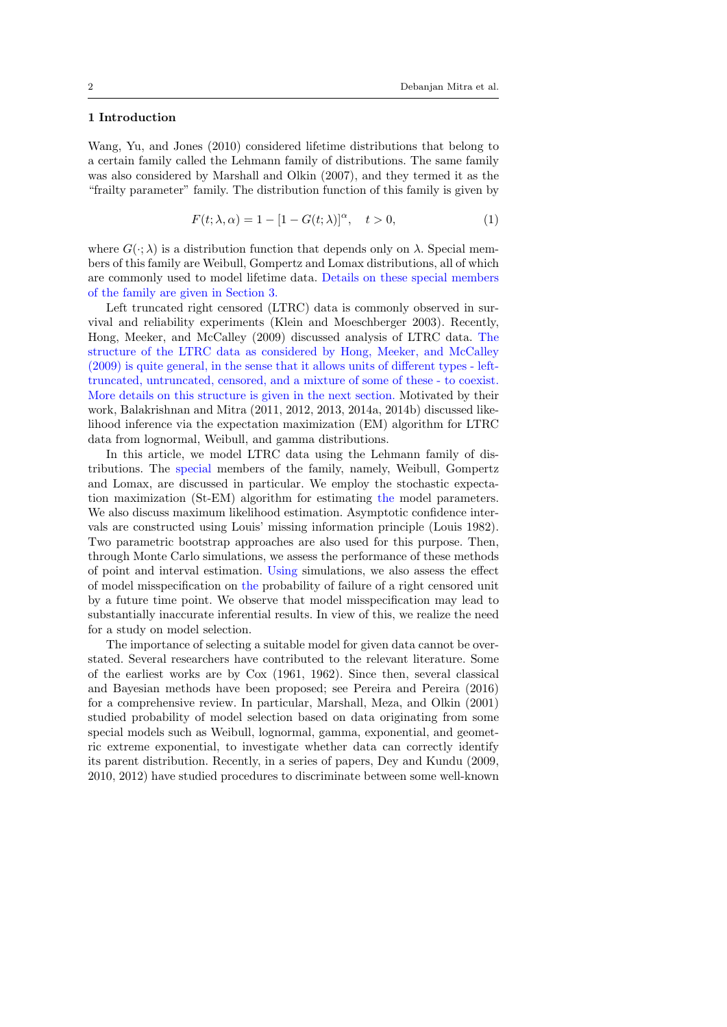## 1 Introduction

Wang, Yu, and Jones (2010) considered lifetime distributions that belong to a certain family called the Lehmann family of distributions. The same family was also considered by Marshall and Olkin (2007), and they termed it as the "frailty parameter" family. The distribution function of this family is given by

$$
F(t; \lambda, \alpha) = 1 - [1 - G(t; \lambda)]^{\alpha}, \quad t > 0,
$$
\n(1)

where  $G(\cdot; \lambda)$  is a distribution function that depends only on  $\lambda$ . Special members of this family are Weibull, Gompertz and Lomax distributions, all of which are commonly used to model lifetime data. Details on these special members of the family are given in Section 3.

Left truncated right censored (LTRC) data is commonly observed in survival and reliability experiments (Klein and Moeschberger 2003). Recently, Hong, Meeker, and McCalley (2009) discussed analysis of LTRC data. The structure of the LTRC data as considered by Hong, Meeker, and McCalley (2009) is quite general, in the sense that it allows units of different types - lefttruncated, untruncated, censored, and a mixture of some of these - to coexist. More details on this structure is given in the next section. Motivated by their work, Balakrishnan and Mitra (2011, 2012, 2013, 2014a, 2014b) discussed likelihood inference via the expectation maximization (EM) algorithm for LTRC data from lognormal, Weibull, and gamma distributions.

In this article, we model LTRC data using the Lehmann family of distributions. The special members of the family, namely, Weibull, Gompertz and Lomax, are discussed in particular. We employ the stochastic expectation maximization (St-EM) algorithm for estimating the model parameters. We also discuss maximum likelihood estimation. Asymptotic confidence intervals are constructed using Louis' missing information principle (Louis 1982). Two parametric bootstrap approaches are also used for this purpose. Then, through Monte Carlo simulations, we assess the performance of these methods of point and interval estimation. Using simulations, we also assess the effect of model misspecification on the probability of failure of a right censored unit by a future time point. We observe that model misspecification may lead to substantially inaccurate inferential results. In view of this, we realize the need for a study on model selection.

The importance of selecting a suitable model for given data cannot be overstated. Several researchers have contributed to the relevant literature. Some of the earliest works are by Cox (1961, 1962). Since then, several classical and Bayesian methods have been proposed; see Pereira and Pereira (2016) for a comprehensive review. In particular, Marshall, Meza, and Olkin (2001) studied probability of model selection based on data originating from some special models such as Weibull, lognormal, gamma, exponential, and geometric extreme exponential, to investigate whether data can correctly identify its parent distribution. Recently, in a series of papers, Dey and Kundu (2009, 2010, 2012) have studied procedures to discriminate between some well-known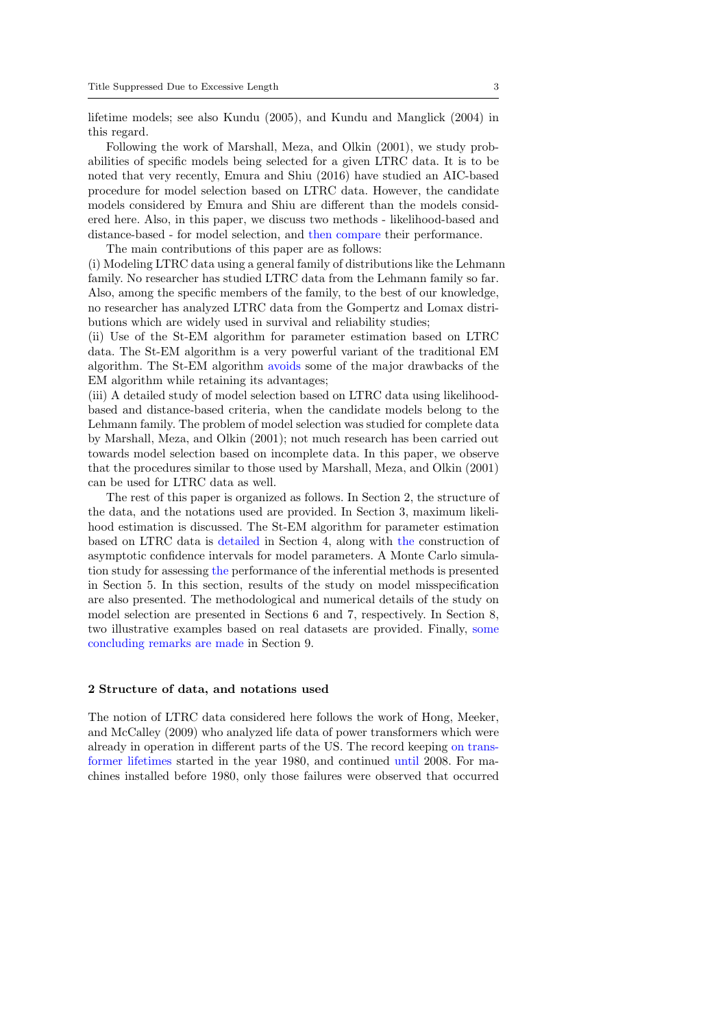lifetime models; see also Kundu (2005), and Kundu and Manglick (2004) in this regard.

Following the work of Marshall, Meza, and Olkin (2001), we study probabilities of specific models being selected for a given LTRC data. It is to be noted that very recently, Emura and Shiu (2016) have studied an AIC-based procedure for model selection based on LTRC data. However, the candidate models considered by Emura and Shiu are different than the models considered here. Also, in this paper, we discuss two methods - likelihood-based and distance-based - for model selection, and then compare their performance. The main contributions of this paper are as follows:

(i) Modeling LTRC data using a general family of distributions like the Lehmann family. No researcher has studied LTRC data from the Lehmann family so far. Also, among the specific members of the family, to the best of our knowledge, no researcher has analyzed LTRC data from the Gompertz and Lomax distributions which are widely used in survival and reliability studies;

(ii) Use of the St-EM algorithm for parameter estimation based on LTRC data. The St-EM algorithm is a very powerful variant of the traditional EM algorithm. The St-EM algorithm avoids some of the major drawbacks of the EM algorithm while retaining its advantages;

(iii) A detailed study of model selection based on LTRC data using likelihoodbased and distance-based criteria, when the candidate models belong to the Lehmann family. The problem of model selection was studied for complete data by Marshall, Meza, and Olkin (2001); not much research has been carried out towards model selection based on incomplete data. In this paper, we observe that the procedures similar to those used by Marshall, Meza, and Olkin (2001) can be used for LTRC data as well.

The rest of this paper is organized as follows. In Section 2, the structure of the data, and the notations used are provided. In Section 3, maximum likelihood estimation is discussed. The St-EM algorithm for parameter estimation based on LTRC data is detailed in Section 4, along with the construction of asymptotic confidence intervals for model parameters. A Monte Carlo simulation study for assessing the performance of the inferential methods is presented in Section 5. In this section, results of the study on model misspecification are also presented. The methodological and numerical details of the study on model selection are presented in Sections 6 and 7, respectively. In Section 8, two illustrative examples based on real datasets are provided. Finally, some concluding remarks are made in Section 9.

#### 2 Structure of data, and notations used

The notion of LTRC data considered here follows the work of Hong, Meeker, and McCalley (2009) who analyzed life data of power transformers which were already in operation in different parts of the US. The record keeping on transformer lifetimes started in the year 1980, and continued until 2008. For machines installed before 1980, only those failures were observed that occurred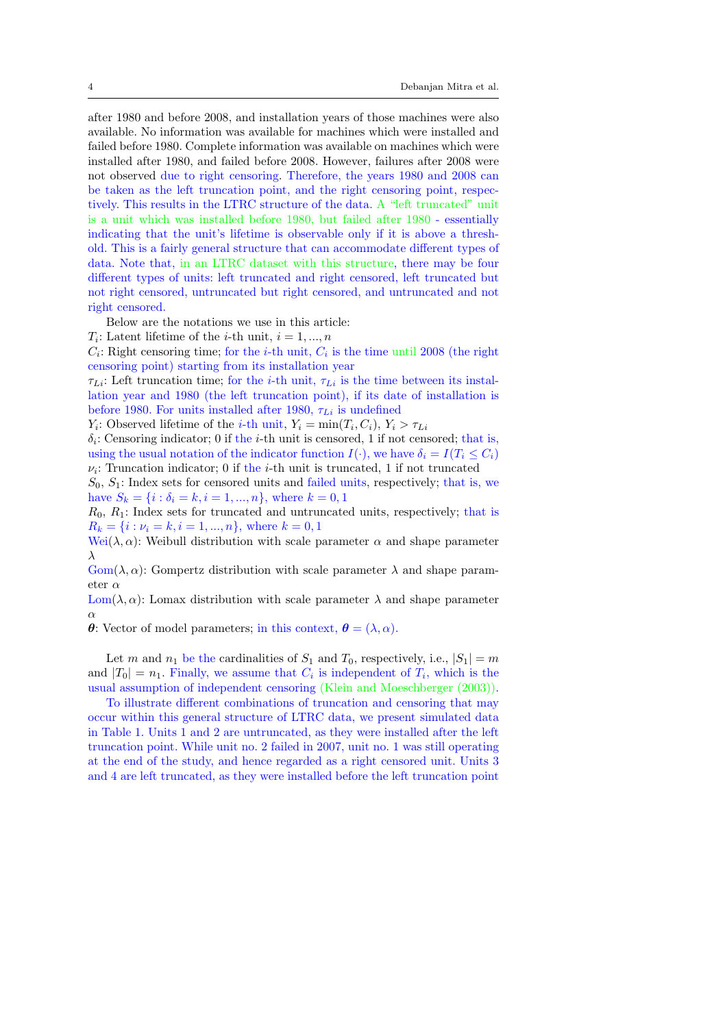after 1980 and before 2008, and installation years of those machines were also available. No information was available for machines which were installed and failed before 1980. Complete information was available on machines which were installed after 1980, and failed before 2008. However, failures after 2008 were not observed due to right censoring. Therefore, the years 1980 and 2008 can be taken as the left truncation point, and the right censoring point, respectively. This results in the LTRC structure of the data. A "left truncated" unit is a unit which was installed before 1980, but failed after 1980 - essentially indicating that the unit's lifetime is observable only if it is above a threshold. This is a fairly general structure that can accommodate different types of data. Note that, in an LTRC dataset with this structure, there may be four different types of units: left truncated and right censored, left truncated but not right censored, untruncated but right censored, and untruncated and not right censored.

Below are the notations we use in this article:

 $T_i$ : Latent lifetime of the *i*-th unit,  $i = 1, ..., n$ 

 $C_i$ : Right censoring time; for the *i*-th unit,  $C_i$  is the time until 2008 (the right censoring point) starting from its installation year

 $\tau_{Li}$ : Left truncation time; for the *i*-th unit,  $\tau_{Li}$  is the time between its installation year and 1980 (the left truncation point), if its date of installation is before 1980. For units installed after 1980,  $\tau_{Li}$  is undefined

 $Y_i$ : Observed lifetime of the *i*-th unit,  $Y_i = \min(T_i, C_i)$ ,  $Y_i > \tau_{Li}$ 

 $\delta_i$ : Censoring indicator; 0 if the *i*-th unit is censored, 1 if not censored; that is, using the usual notation of the indicator function  $I(\cdot)$ , we have  $\delta_i = I(T_i \leq C_i)$  $\nu_i$ : Truncation indicator; 0 if the *i*-th unit is truncated, 1 if not truncated

 $S_0, S_1$ : Index sets for censored units and failed units, respectively; that is, we have  $S_k = \{i : \delta_i = k, i = 1, ..., n\}$ , where  $k = 0, 1$ 

 $R_0, R_1$ : Index sets for truncated and untruncated units, respectively; that is  $R_k = \{i : \nu_i = k, i = 1, ..., n\}$ , where  $k = 0, 1$ 

Wei( $\lambda, \alpha$ ): Weibull distribution with scale parameter  $\alpha$  and shape parameter λ

 $\text{Gom}(\lambda, \alpha)$ : Gompertz distribution with scale parameter  $\lambda$  and shape parameter  $\alpha$ 

Lom( $\lambda$ ,  $\alpha$ ): Lomax distribution with scale parameter  $\lambda$  and shape parameter α

θ: Vector of model parameters; in this context,  $\boldsymbol{\theta} = (\lambda, \alpha)$ .

Let m and  $n_1$  be the cardinalities of  $S_1$  and  $T_0$ , respectively, i.e.,  $|S_1| = m$ and  $|T_0| = n_1$ . Finally, we assume that  $C_i$  is independent of  $T_i$ , which is the usual assumption of independent censoring (Klein and Moeschberger (2003)).

To illustrate different combinations of truncation and censoring that may occur within this general structure of LTRC data, we present simulated data in Table 1. Units 1 and 2 are untruncated, as they were installed after the left truncation point. While unit no. 2 failed in 2007, unit no. 1 was still operating at the end of the study, and hence regarded as a right censored unit. Units 3 and 4 are left truncated, as they were installed before the left truncation point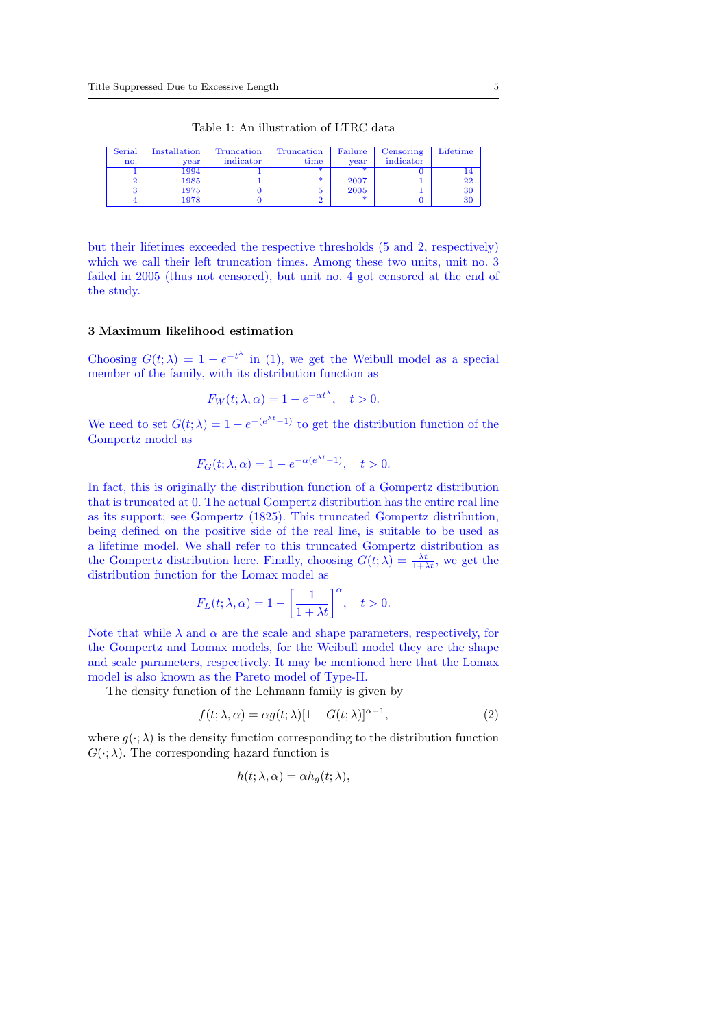| Table 1: An illustration of LTRC data |  |
|---------------------------------------|--|
|                                       |  |

| Serial<br>no. | Installation | Truncation<br>indicator | Truncation<br>time | Failure<br>vear | Censoring<br>indicator | Lifetime |
|---------------|--------------|-------------------------|--------------------|-----------------|------------------------|----------|
|               | vear<br>1994 |                         | sk.                |                 |                        | 14       |
|               | 1985         |                         | *                  | 2007            |                        | 22       |
|               | 1975         |                         | ð                  | 2005            |                        | 30       |
|               | 1978         |                         |                    | -sk             |                        | 30       |

but their lifetimes exceeded the respective thresholds (5 and 2, respectively) which we call their left truncation times. Among these two units, unit no. 3 failed in 2005 (thus not censored), but unit no. 4 got censored at the end of the study.

## 3 Maximum likelihood estimation

Choosing  $G(t; \lambda) = 1 - e^{-t^{\lambda}}$  in (1), we get the Weibull model as a special member of the family, with its distribution function as

$$
F_W(t; \lambda, \alpha) = 1 - e^{-\alpha t^{\lambda}}, \quad t > 0.
$$

We need to set  $G(t; \lambda) = 1 - e^{-(e^{\lambda t}-1)}$  to get the distribution function of the Gompertz model as

$$
F_G(t; \lambda, \alpha) = 1 - e^{-\alpha(e^{\lambda t} - 1)}, \quad t > 0.
$$

In fact, this is originally the distribution function of a Gompertz distribution that is truncated at 0. The actual Gompertz distribution has the entire real line as its support; see Gompertz (1825). This truncated Gompertz distribution, being defined on the positive side of the real line, is suitable to be used as a lifetime model. We shall refer to this truncated Gompertz distribution as the Gompertz distribution here. Finally, choosing  $G(t; \lambda) = \frac{\lambda t}{1 + \lambda t}$ , we get the distribution function for the Lomax model as

$$
F_L(t; \lambda, \alpha) = 1 - \left[\frac{1}{1 + \lambda t}\right]^\alpha, \quad t > 0.
$$

Note that while  $\lambda$  and  $\alpha$  are the scale and shape parameters, respectively, for the Gompertz and Lomax models, for the Weibull model they are the shape and scale parameters, respectively. It may be mentioned here that the Lomax model is also known as the Pareto model of Type-II.

The density function of the Lehmann family is given by

$$
f(t; \lambda, \alpha) = \alpha g(t; \lambda) [1 - G(t; \lambda)]^{\alpha - 1}, \qquad (2)
$$

where  $g(\cdot; \lambda)$  is the density function corresponding to the distribution function  $G(\cdot; \lambda)$ . The corresponding hazard function is

$$
h(t; \lambda, \alpha) = \alpha h_g(t; \lambda),
$$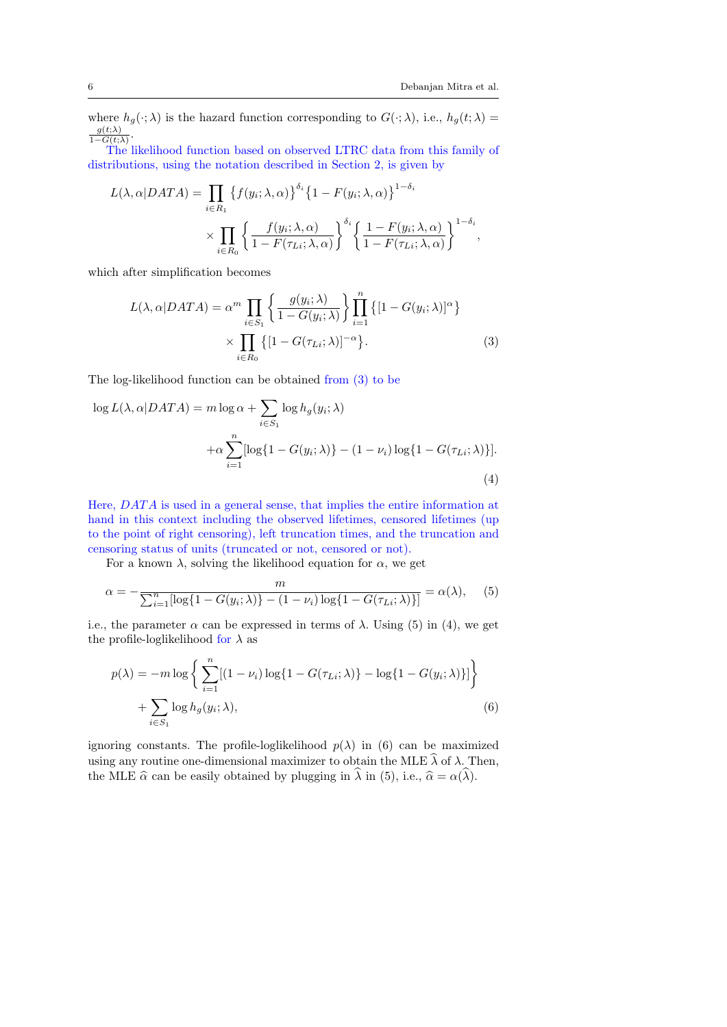where  $h_g(\cdot; \lambda)$  is the hazard function corresponding to  $G(\cdot; \lambda)$ , i.e.,  $h_g(t; \lambda)$  $g(t;\lambda)$  $\frac{g(t;\lambda)}{1-G(t;\lambda)}$ .

The likelihood function based on observed LTRC data from this family of distributions, using the notation described in Section 2, is given by

$$
L(\lambda, \alpha | DATA) = \prod_{i \in R_1} \left\{ f(y_i; \lambda, \alpha) \right\}^{\delta_i} \left\{ 1 - F(y_i; \lambda, \alpha) \right\}^{1 - \delta_i}
$$

$$
\times \prod_{i \in R_0} \left\{ \frac{f(y_i; \lambda, \alpha)}{1 - F(\tau_{Li}; \lambda, \alpha)} \right\}^{\delta_i} \left\{ \frac{1 - F(y_i; \lambda, \alpha)}{1 - F(\tau_{Li}; \lambda, \alpha)} \right\}^{1 - \delta_i},
$$

which after simplification becomes

$$
L(\lambda, \alpha | DATA) = \alpha^m \prod_{i \in S_1} \left\{ \frac{g(y_i; \lambda)}{1 - G(y_i; \lambda)} \right\} \prod_{i=1}^n \left\{ [1 - G(y_i; \lambda)]^{\alpha} \right\}
$$

$$
\times \prod_{i \in R_0} \left\{ [1 - G(\tau_{Li}; \lambda)]^{-\alpha} \right\}.
$$
 (3)

The log-likelihood function can be obtained from (3) to be

$$
\log L(\lambda, \alpha | DATA) = m \log \alpha + \sum_{i \in S_1} \log h_g(y_i; \lambda)
$$

$$
+ \alpha \sum_{i=1}^n [\log \{1 - G(y_i; \lambda)\} - (1 - \nu_i) \log \{1 - G(\tau_{Li}; \lambda)\}].
$$
(4)

Here, DAT A is used in a general sense, that implies the entire information at hand in this context including the observed lifetimes, censored lifetimes (up to the point of right censoring), left truncation times, and the truncation and censoring status of units (truncated or not, censored or not).

For a known  $\lambda$ , solving the likelihood equation for  $\alpha$ , we get

$$
\alpha = -\frac{m}{\sum_{i=1}^{n} [\log\{1 - G(y_i; \lambda)\} - (1 - \nu_i) \log\{1 - G(\tau_{Li}; \lambda)\}] } = \alpha(\lambda), \quad (5)
$$

i.e., the parameter  $\alpha$  can be expressed in terms of  $\lambda$ . Using (5) in (4), we get the profile-loglikelihood for  $\lambda$  as

$$
p(\lambda) = -m \log \left\{ \sum_{i=1}^{n} [(1 - \nu_i) \log \{1 - G(\tau_{Li}; \lambda)\} - \log \{1 - G(y_i; \lambda)\}] \right\} + \sum_{i \in S_1} \log h_g(y_i; \lambda),
$$
\n(6)

ignoring constants. The profile-loglikelihood  $p(\lambda)$  in (6) can be maximized using any routine one-dimensional maximizer to obtain the MLE  $\widehat{\lambda}$  of  $\lambda$ . Then, the MLE  $\hat{\alpha}$  can be easily obtained by plugging in  $\hat{\lambda}$  in (5), i.e.,  $\hat{\alpha} = \alpha(\hat{\lambda})$ .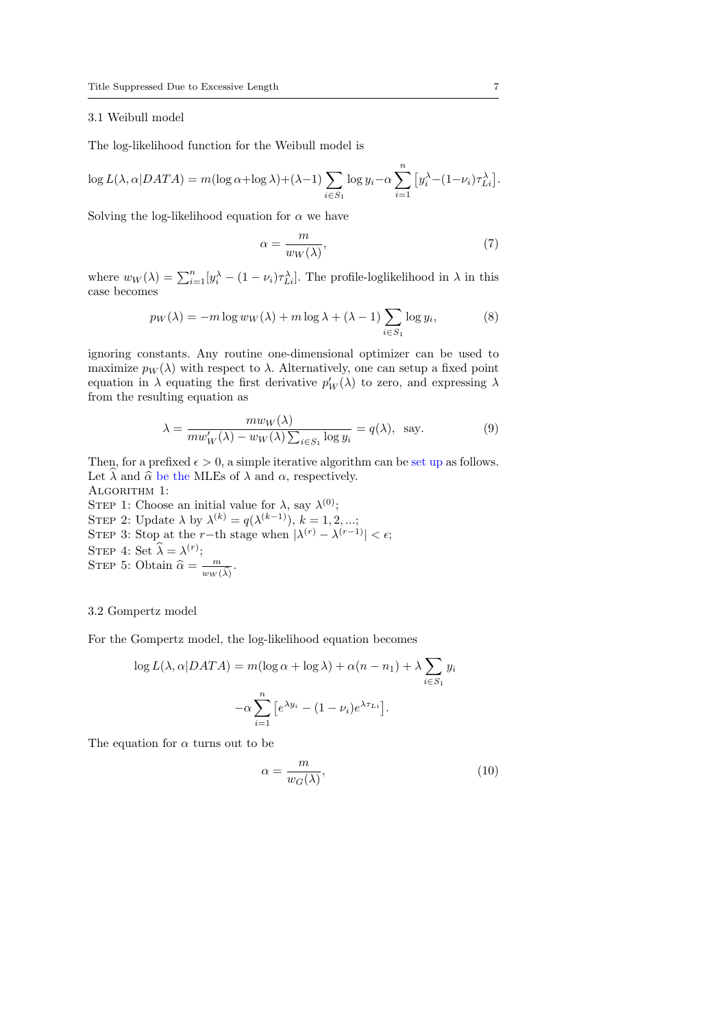## 3.1 Weibull model

The log-likelihood function for the Weibull model is

$$
\log L(\lambda, \alpha | DATA) = m(\log \alpha + \log \lambda) + (\lambda - 1) \sum_{i \in S_1} \log y_i - \alpha \sum_{i=1}^n \left[ y_i^{\lambda} - (1 - \nu_i) \tau_{Li}^{\lambda} \right].
$$

Solving the log-likelihood equation for  $\alpha$  we have

$$
\alpha = \frac{m}{w_W(\lambda)},\tag{7}
$$

where  $w_W(\lambda) = \sum_{i=1}^n [y_i^{\lambda} - (1 - \nu_i)\tau_{Li}^{\lambda}]$ . The profile-loglikelihood in  $\lambda$  in this case becomes

$$
p_W(\lambda) = -m \log w_W(\lambda) + m \log \lambda + (\lambda - 1) \sum_{i \in S_1} \log y_i,
$$
 (8)

ignoring constants. Any routine one-dimensional optimizer can be used to maximize  $p_W(\lambda)$  with respect to  $\lambda$ . Alternatively, one can setup a fixed point equation in  $\lambda$  equating the first derivative  $p_W'(\lambda)$  to zero, and expressing  $\lambda$ from the resulting equation as

$$
\lambda = \frac{mw_W(\lambda)}{mw'_W(\lambda) - w_W(\lambda)\sum_{i \in S_1} \log y_i} = q(\lambda), \text{ say.}
$$
\n(9)

Then, for a prefixed  $\epsilon > 0$ , a simple iterative algorithm can be set up as follows. Let  $\hat{\lambda}$  and  $\hat{\alpha}$  be the MLEs of  $\lambda$  and  $\alpha$ , respectively. ALGORITHM 1: STEP 1: Choose an initial value for  $\lambda$ , say  $\lambda^{(0)}$ ; STEP 2: Update  $\lambda$  by  $\lambda^{(k)} = q(\lambda^{(k-1)}), k = 1, 2, ...;$ 

STEP 3: Stop at the r-th stage when  $|\lambda^{(r)} - \lambda^{(r-1)}| < \epsilon$ ; STEP 4: Set  $\widehat{\lambda} = \lambda^{(r)}$ ; STEP 5: Obtain  $\widehat{\alpha} = \frac{m}{w_W}$  $\frac{m}{w_W(\widehat{\lambda})}$ .

## 3.2 Gompertz model

For the Gompertz model, the log-likelihood equation becomes

$$
\log L(\lambda, \alpha | DATA) = m(\log \alpha + \log \lambda) + \alpha (n - n_1) + \lambda \sum_{i \in S_1} y_i
$$

$$
-\alpha \sum_{i=1}^n \left[ e^{\lambda y_i} - (1 - \nu_i) e^{\lambda \tau_{Li}} \right].
$$

The equation for  $\alpha$  turns out to be

$$
\alpha = \frac{m}{w_G(\lambda)},\tag{10}
$$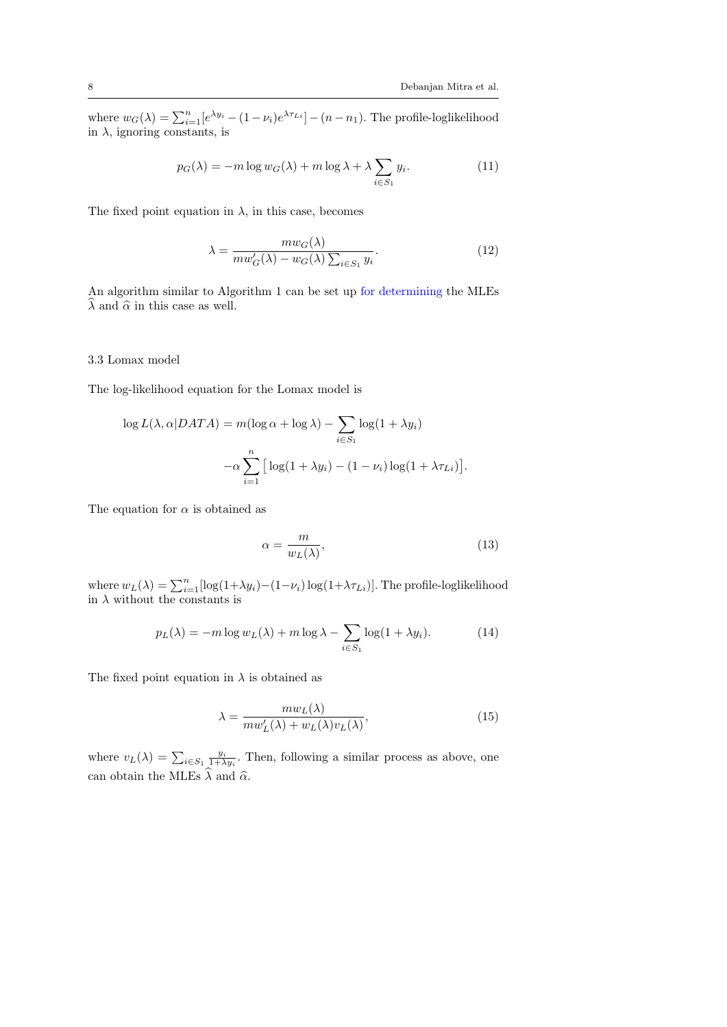where  $w_G(\lambda) = \sum_{i=1}^n [e^{\lambda y_i} - (1 - \nu_i)e^{\lambda \tau_{Li}}] - (n - n_1)$ . The profile-loglikelihood in  $\lambda$ , ignoring constants, is

$$
p_G(\lambda) = -m \log w_G(\lambda) + m \log \lambda + \lambda \sum_{i \in S_1} y_i.
$$
 (11)

The fixed point equation in  $\lambda$ , in this case, becomes

$$
\lambda = \frac{mw_G(\lambda)}{mw'_G(\lambda) - w_G(\lambda)\sum_{i \in S_1} y_i}.
$$
\n(12)

An algorithm similar to Algorithm 1 can be set up for determining the MLEs  $\widehat{\lambda}$  and  $\widehat{\alpha}$  in this case as well.

## 3.3 Lomax model

The log-likelihood equation for the Lomax model is

$$
\log L(\lambda, \alpha | DATA) = m(\log \alpha + \log \lambda) - \sum_{i \in S_1} \log(1 + \lambda y_i)
$$

$$
-\alpha \sum_{i=1}^n \left[ \log(1 + \lambda y_i) - (1 - \nu_i) \log(1 + \lambda \tau_{Li}) \right].
$$

The equation for  $\alpha$  is obtained as

$$
\alpha = \frac{m}{w_L(\lambda)},\tag{13}
$$

where  $w_L(\lambda) = \sum_{i=1}^n [\log(1+\lambda y_i) - (1-\nu_i)\log(1+\lambda \tau_{Li})]$ . The profile-loglikelihood in  $\lambda$  without the constants is

$$
p_L(\lambda) = -m \log w_L(\lambda) + m \log \lambda - \sum_{i \in S_1} \log(1 + \lambda y_i). \tag{14}
$$

The fixed point equation in  $\lambda$  is obtained as

$$
\lambda = \frac{mw_L(\lambda)}{mw'_L(\lambda) + w_L(\lambda)v_L(\lambda)},\tag{15}
$$

where  $v_L(\lambda) = \sum_{i \in S_1} \frac{y_i}{1 + \lambda y_i}$ . Then, following a similar process as above, one can obtain the MLEs  $\widehat{\lambda}$  and  $\widehat{\alpha}$ .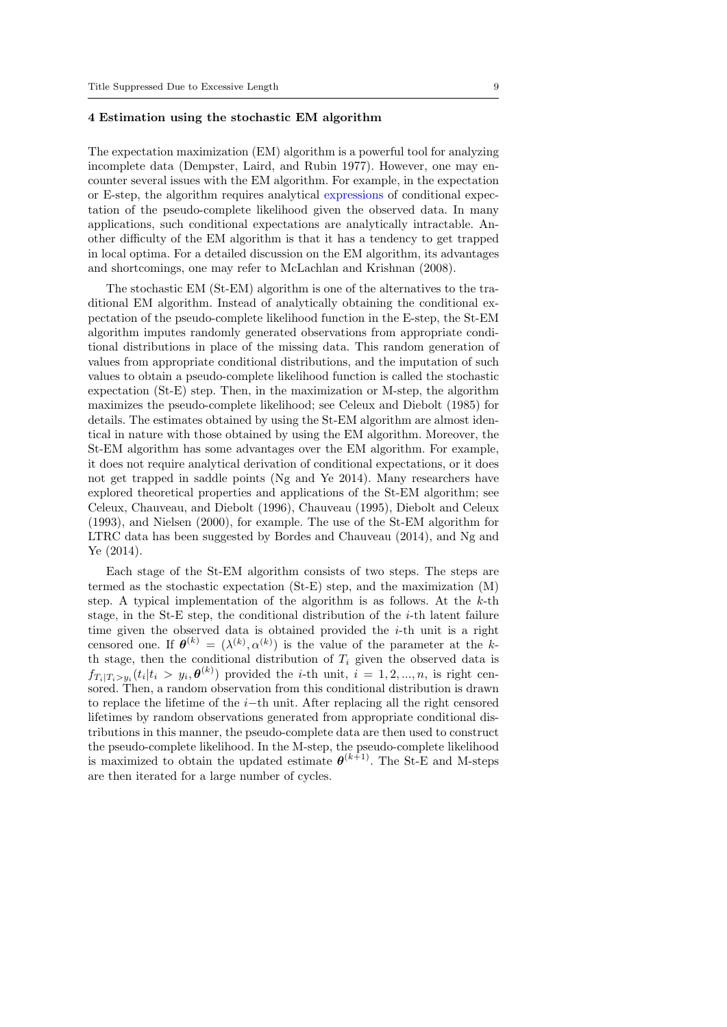## 4 Estimation using the stochastic EM algorithm

The expectation maximization (EM) algorithm is a powerful tool for analyzing incomplete data (Dempster, Laird, and Rubin 1977). However, one may encounter several issues with the EM algorithm. For example, in the expectation or E-step, the algorithm requires analytical expressions of conditional expectation of the pseudo-complete likelihood given the observed data. In many applications, such conditional expectations are analytically intractable. Another difficulty of the EM algorithm is that it has a tendency to get trapped in local optima. For a detailed discussion on the EM algorithm, its advantages and shortcomings, one may refer to McLachlan and Krishnan (2008).

The stochastic EM (St-EM) algorithm is one of the alternatives to the traditional EM algorithm. Instead of analytically obtaining the conditional expectation of the pseudo-complete likelihood function in the E-step, the St-EM algorithm imputes randomly generated observations from appropriate conditional distributions in place of the missing data. This random generation of values from appropriate conditional distributions, and the imputation of such values to obtain a pseudo-complete likelihood function is called the stochastic expectation (St-E) step. Then, in the maximization or M-step, the algorithm maximizes the pseudo-complete likelihood; see Celeux and Diebolt (1985) for details. The estimates obtained by using the St-EM algorithm are almost identical in nature with those obtained by using the EM algorithm. Moreover, the St-EM algorithm has some advantages over the EM algorithm. For example, it does not require analytical derivation of conditional expectations, or it does not get trapped in saddle points (Ng and Ye 2014). Many researchers have explored theoretical properties and applications of the St-EM algorithm; see Celeux, Chauveau, and Diebolt (1996), Chauveau (1995), Diebolt and Celeux (1993), and Nielsen (2000), for example. The use of the St-EM algorithm for LTRC data has been suggested by Bordes and Chauveau (2014), and Ng and Ye (2014).

Each stage of the St-EM algorithm consists of two steps. The steps are termed as the stochastic expectation (St-E) step, and the maximization (M) step. A typical implementation of the algorithm is as follows. At the  $k$ -th stage, in the St-E step, the conditional distribution of the  $i$ -th latent failure time given the observed data is obtained provided the  $i$ -th unit is a right censored one. If  $\boldsymbol{\theta}^{(k)} = (\lambda^{(k)}, \alpha^{(k)})$  is the value of the parameter at the kth stage, then the conditional distribution of  $T_i$  given the observed data is  $f_{T_i|T_i>y_i}(t_i|t_i \geq y_i, \theta^{(k)})$  provided the *i*-th unit,  $i = 1, 2, ..., n$ , is right censored. Then, a random observation from this conditional distribution is drawn to replace the lifetime of the  $i$ −th unit. After replacing all the right censored lifetimes by random observations generated from appropriate conditional distributions in this manner, the pseudo-complete data are then used to construct the pseudo-complete likelihood. In the M-step, the pseudo-complete likelihood is maximized to obtain the updated estimate  $\boldsymbol{\theta}^{(k+1)}$ . The St-E and M-steps are then iterated for a large number of cycles.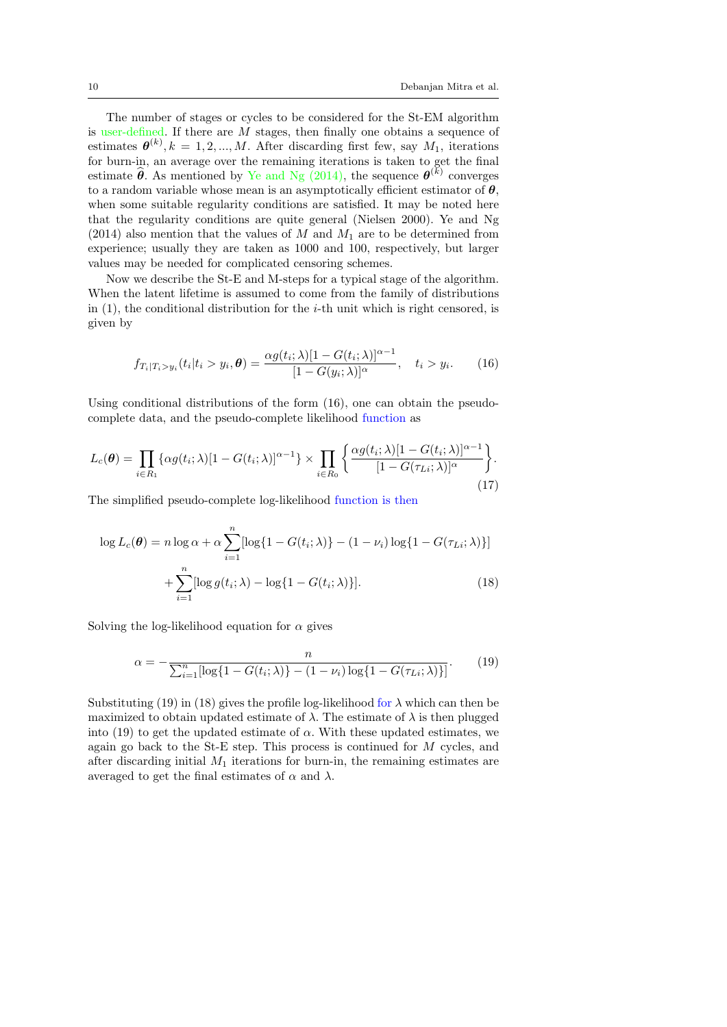The number of stages or cycles to be considered for the St-EM algorithm is user-defined. If there are M stages, then finally one obtains a sequence of estimates  $\boldsymbol{\theta}^{(k)}$ ,  $k = 1, 2, ..., M$ . After discarding first few, say  $M_1$ , iterations for burn-in, an average over the remaining iterations is taken to get the final estimate  $\hat{\theta}$ . As mentioned by Ye and Ng (2014), the sequence  $\theta^{(k)}$  converges to a random variable whose mean is an asymptotically efficient estimator of  $\theta$ , when some suitable regularity conditions are satisfied. It may be noted here that the regularity conditions are quite general (Nielsen 2000). Ye and Ng (2014) also mention that the values of  $M$  and  $M_1$  are to be determined from experience; usually they are taken as 1000 and 100, respectively, but larger values may be needed for complicated censoring schemes.

Now we describe the St-E and M-steps for a typical stage of the algorithm. When the latent lifetime is assumed to come from the family of distributions in  $(1)$ , the conditional distribution for the *i*-th unit which is right censored, is given by

$$
f_{T_i|T_i>y_i}(t_i|t_i>y_i,\boldsymbol{\theta}) = \frac{\alpha g(t_i;\lambda)[1-G(t_i;\lambda)]^{\alpha-1}}{[1-G(y_i;\lambda)]^{\alpha}}, \quad t_i > y_i.
$$
 (16)

Using conditional distributions of the form  $(16)$ , one can obtain the pseudocomplete data, and the pseudo-complete likelihood function as

$$
L_c(\boldsymbol{\theta}) = \prod_{i \in R_1} \{ \alpha g(t_i; \lambda) [1 - G(t_i; \lambda)]^{\alpha - 1} \} \times \prod_{i \in R_0} \left\{ \frac{\alpha g(t_i; \lambda) [1 - G(t_i; \lambda)]^{\alpha - 1}}{[1 - G(\tau_{Li}; \lambda)]^{\alpha}} \right\}.
$$
\n(17)

The simplified pseudo-complete log-likelihood function is then

$$
\log L_c(\boldsymbol{\theta}) = n \log \alpha + \alpha \sum_{i=1}^n [\log\{1 - G(t_i; \lambda)\} - (1 - \nu_i) \log\{1 - G(\tau_{Li}; \lambda)\}] + \sum_{i=1}^n [\log g(t_i; \lambda) - \log\{1 - G(t_i; \lambda)\}].
$$
\n(18)

Solving the log-likelihood equation for  $\alpha$  gives

$$
\alpha = -\frac{n}{\sum_{i=1}^{n} [\log\{1 - G(t_i; \lambda)\} - (1 - \nu_i) \log\{1 - G(\tau_{Li}; \lambda)\}]}. \tag{19}
$$

Substituting (19) in (18) gives the profile log-likelihood for  $\lambda$  which can then be maximized to obtain updated estimate of  $\lambda$ . The estimate of  $\lambda$  is then plugged into  $(19)$  to get the updated estimate of  $\alpha$ . With these updated estimates, we again go back to the St-E step. This process is continued for M cycles, and after discarding initial  $M_1$  iterations for burn-in, the remaining estimates are averaged to get the final estimates of  $\alpha$  and  $\lambda$ .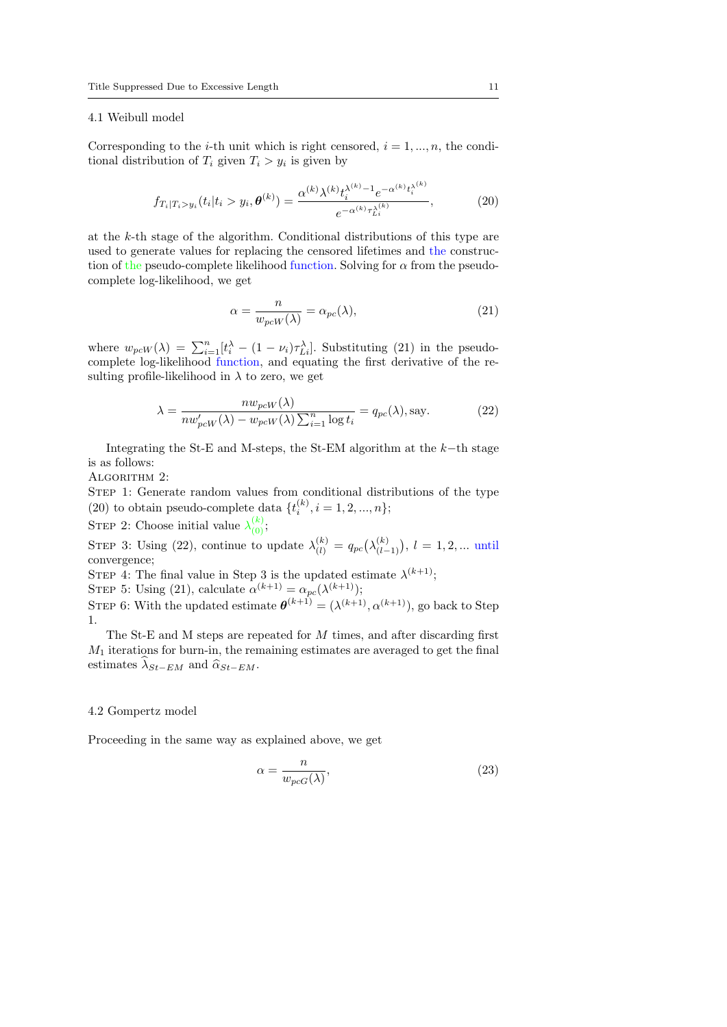#### 4.1 Weibull model

Corresponding to the *i*-th unit which is right censored,  $i = 1, ..., n$ , the conditional distribution of  $T_i$  given  $T_i > y_i$  is given by

$$
f_{T_i|T_i>y_i}(t_i|t_i>y_i, \boldsymbol{\theta}^{(k)}) = \frac{\alpha^{(k)} \lambda^{(k)} t_i^{\lambda^{(k)} - 1} e^{-\alpha^{(k)} t_i^{\lambda^{(k)}}}}{e^{-\alpha^{(k)} \tau_{Li}^{\lambda^{(k)}}}},
$$
(20)

at the k-th stage of the algorithm. Conditional distributions of this type are used to generate values for replacing the censored lifetimes and the construction of the pseudo-complete likelihood function. Solving for  $\alpha$  from the pseudocomplete log-likelihood, we get

$$
\alpha = \frac{n}{w_{pcW}(\lambda)} = \alpha_{pc}(\lambda),\tag{21}
$$

where  $w_{pcW}(\lambda) = \sum_{i=1}^{n} [t_i^{\lambda} - (1 - \nu_i)\tau_{Li}^{\lambda}]$ . Substituting (21) in the pseudocomplete log-likelihood function, and equating the first derivative of the resulting profile-likelihood in  $\lambda$  to zero, we get

$$
\lambda = \frac{nw_{pcW}(\lambda)}{nw_{pcW}'(\lambda) - w_{pcW}(\lambda) \sum_{i=1}^{n} \log t_i} = q_{pc}(\lambda), \text{say.}
$$
 (22)

Integrating the St-E and M-steps, the St-EM algorithm at the  $k$ −th stage is as follows:

ALGORITHM 2:

STEP 1: Generate random values from conditional distributions of the type (20) to obtain pseudo-complete data  $\{t_i^{(k)}, i = 1, 2, ..., n\}$ ;

STEP 2: Choose initial value  $\lambda_{(0)}^{(k)}$ ;

STEP 3: Using (22), continue to update  $\lambda_{(l)}^{(k)} = q_{pc}(\lambda_{(l-1)}^{(k)}), l = 1, 2, ...$  until convergence;

STEP 4: The final value in Step 3 is the updated estimate  $\lambda^{(k+1)}$ ;

STEP 5: Using (21), calculate  $\alpha^{(k+1)} = \alpha_{pc}(\lambda^{(k+1)})$ ;

STEP 6: With the updated estimate  $\boldsymbol{\theta}^{(k+1)} = (\lambda^{(k+1)}, \alpha^{(k+1)})$ , go back to Step 1.

The St-E and M steps are repeated for M times, and after discarding first  $M_1$  iterations for burn-in, the remaining estimates are averaged to get the final estimates  $\widehat{\lambda}_{St-EM}$  and  $\widehat{\alpha}_{St-EM}$ .

#### 4.2 Gompertz model

Proceeding in the same way as explained above, we get

$$
\alpha = \frac{n}{w_{pcG}(\lambda)},\tag{23}
$$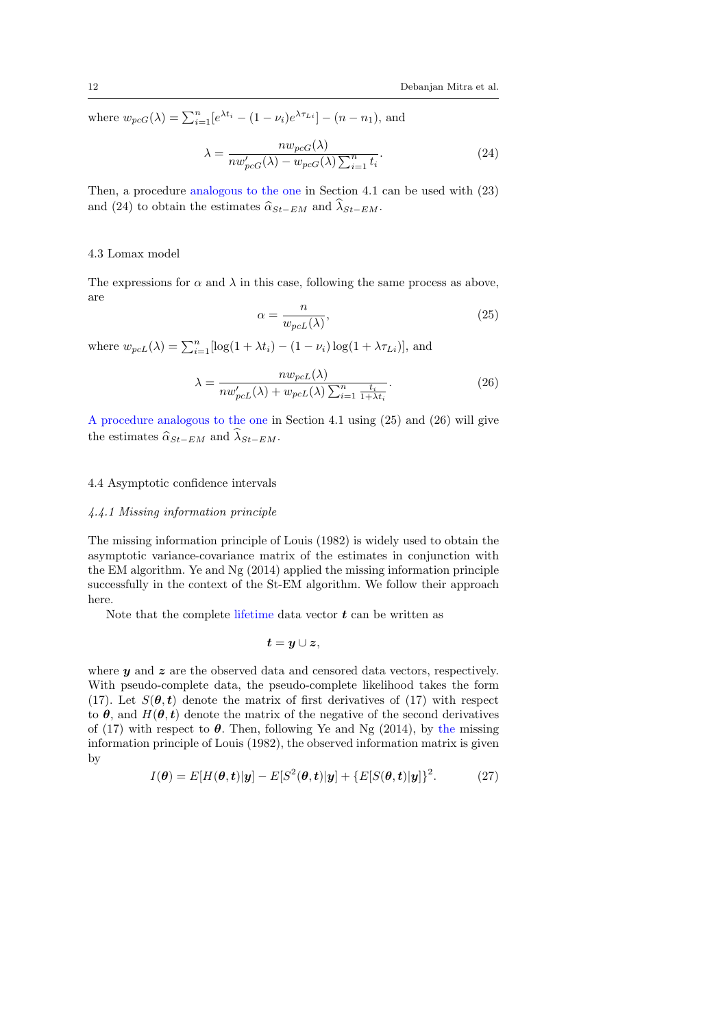where  $w_{pcG}(\lambda) = \sum_{i=1}^{n} [e^{\lambda t_i} - (1 - \nu_i)e^{\lambda \tau_{Li}}] - (n - n_1)$ , and

$$
\lambda = \frac{nw_{pcG}(\lambda)}{nw_{pcG}'(\lambda) - w_{pcG}(\lambda) \sum_{i=1}^{n} t_i}.
$$
\n(24)

Then, a procedure analogous to the one in Section 4.1 can be used with (23) and (24) to obtain the estimates  $\hat{\alpha}_{St-EM}$  and  $\hat{\lambda}_{St-EM}$ .

### 4.3 Lomax model

The expressions for  $\alpha$  and  $\lambda$  in this case, following the same process as above, are

$$
\alpha = \frac{n}{w_{pcL}(\lambda)},\tag{25}
$$

where  $w_{p c}(\lambda) = \sum_{i=1}^{n} [\log(1 + \lambda t_i) - (1 - \nu_i) \log(1 + \lambda \tau_{Li})],$  and

$$
\lambda = \frac{nv_{pcL}(\lambda)}{nw_{pcL}'(\lambda) + w_{pcL}(\lambda) \sum_{i=1}^{n} \frac{t_i}{1 + \lambda t_i}}.
$$
\n(26)

A procedure analogous to the one in Section 4.1 using (25) and (26) will give the estimates  $\widehat{\alpha}_{St-EM}$  and  $\widehat{\lambda}_{St-EM}$ .

## 4.4 Asymptotic confidence intervals

## 4.4.1 Missing information principle

The missing information principle of Louis (1982) is widely used to obtain the asymptotic variance-covariance matrix of the estimates in conjunction with the EM algorithm. Ye and Ng (2014) applied the missing information principle successfully in the context of the St-EM algorithm. We follow their approach here.

Note that the complete lifetime data vector  $t$  can be written as

$$
\boldsymbol{t}=\boldsymbol{y}\cup\boldsymbol{z},
$$

where  $y$  and  $z$  are the observed data and censored data vectors, respectively. With pseudo-complete data, the pseudo-complete likelihood takes the form (17). Let  $S(\theta, t)$  denote the matrix of first derivatives of (17) with respect to  $\theta$ , and  $H(\theta, t)$  denote the matrix of the negative of the second derivatives of (17) with respect to  $\theta$ . Then, following Ye and Ng (2014), by the missing information principle of Louis (1982), the observed information matrix is given by

$$
I(\boldsymbol{\theta}) = E[H(\boldsymbol{\theta}, t)|y] - E[S^2(\boldsymbol{\theta}, t)|y] + \{E[S(\boldsymbol{\theta}, t)|y]\}^2.
$$
 (27)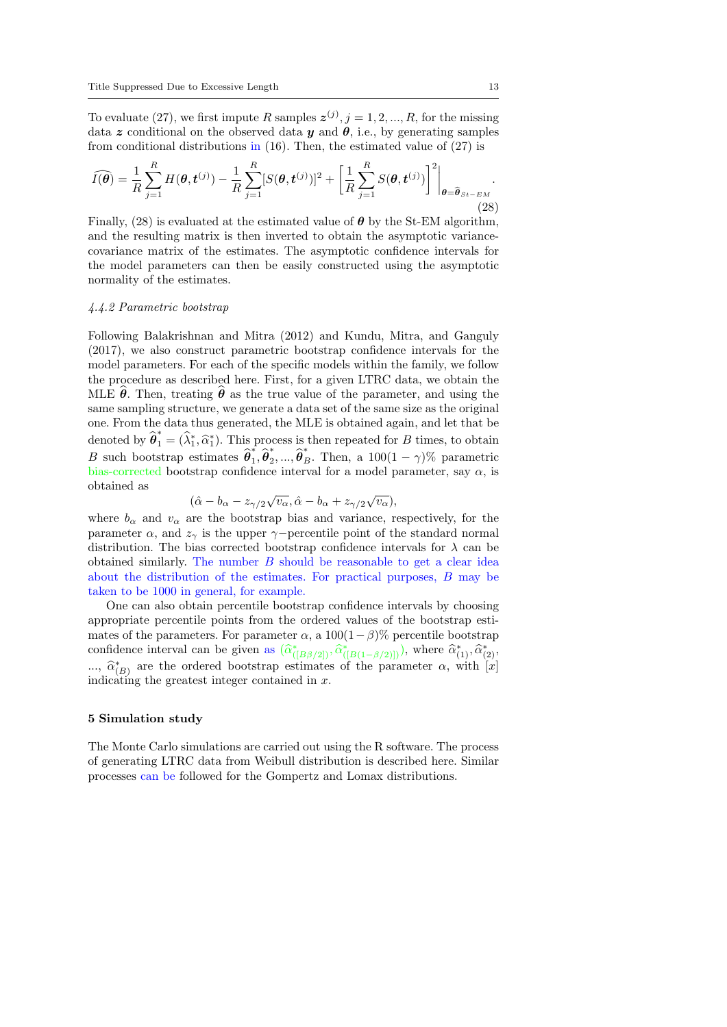To evaluate (27), we first impute R samples  $\mathbf{z}^{(j)}$ ,  $j = 1, 2, ..., R$ , for the missing data z conditional on the observed data y and  $\theta$ , i.e., by generating samples from conditional distributions in (16). Then, the estimated value of (27) is

$$
\widehat{I(\boldsymbol{\theta})} = \frac{1}{R} \sum_{j=1}^{R} H(\boldsymbol{\theta}, \boldsymbol{t}^{(j)}) - \frac{1}{R} \sum_{j=1}^{R} [S(\boldsymbol{\theta}, \boldsymbol{t}^{(j)})]^2 + \left[ \frac{1}{R} \sum_{j=1}^{R} S(\boldsymbol{\theta}, \boldsymbol{t}^{(j)}) \right]^2 \Big|_{\boldsymbol{\theta} = \widehat{\boldsymbol{\theta}}_{St-EM}}.
$$
\n(28)

Finally, (28) is evaluated at the estimated value of  $\theta$  by the St-EM algorithm, and the resulting matrix is then inverted to obtain the asymptotic variancecovariance matrix of the estimates. The asymptotic confidence intervals for the model parameters can then be easily constructed using the asymptotic normality of the estimates.

#### 4.4.2 Parametric bootstrap

Following Balakrishnan and Mitra (2012) and Kundu, Mitra, and Ganguly (2017), we also construct parametric bootstrap confidence intervals for the model parameters. For each of the specific models within the family, we follow the procedure as described here. First, for a given LTRC data, we obtain the MLE  $\hat{\theta}$ . Then, treating  $\hat{\theta}$  as the true value of the parameter, and using the same sampling structure, we generate a data set of the same size as the original one. From the data thus generated, the MLE is obtained again, and let that be denoted by  $\hat{\theta}_1^* = (\hat{\lambda}_1^*, \hat{\alpha}_1^*)$ . This process is then repeated for B times, to obtain B such bootstrap estimates  $\hat{\theta}_1^*$  $\hat{\hat{\theta}}_1^*, \hat{\theta}_2^*$ <sup>\*</sup><sub>2</sub>, ...,  $\hat{\boldsymbol{\theta}}_B^*$ . Then, a 100(1 –  $\gamma$ )% parametric bias-corrected bootstrap confidence interval for a model parameter, say  $\alpha$ , is obtained as √ √

$$
(\hat{\alpha} - b_{\alpha} - z_{\gamma/2} \sqrt{v_{\alpha}}, \hat{\alpha} - b_{\alpha} + z_{\gamma/2} \sqrt{v_{\alpha}}),
$$

where  $b_{\alpha}$  and  $v_{\alpha}$  are the bootstrap bias and variance, respectively, for the parameter  $\alpha$ , and  $z_{\gamma}$  is the upper  $\gamma$ -percentile point of the standard normal distribution. The bias corrected bootstrap confidence intervals for  $\lambda$  can be obtained similarly. The number  $B$  should be reasonable to get a clear idea about the distribution of the estimates. For practical purposes, B may be taken to be 1000 in general, for example.

One can also obtain percentile bootstrap confidence intervals by choosing appropriate percentile points from the ordered values of the bootstrap estimates of the parameters. For parameter  $\alpha$ , a 100(1−β)% percentile bootstrap confidence interval can be given as  $(\hat{\alpha}^*_{([B\beta/2])}, \hat{\alpha}^*_{([B(1-\beta/2)])})$ , where  $\hat{\alpha}^*_{(1)}, \hat{\alpha}^*_{(2)},$ ...,  $\hat{\alpha}_{(B)}^*$  are the ordered bootstrap estimates of the parameter  $\alpha$ , with  $[x]$ indicating the greatest integer contained in x.

#### 5 Simulation study

The Monte Carlo simulations are carried out using the R software. The process of generating LTRC data from Weibull distribution is described here. Similar processes can be followed for the Gompertz and Lomax distributions.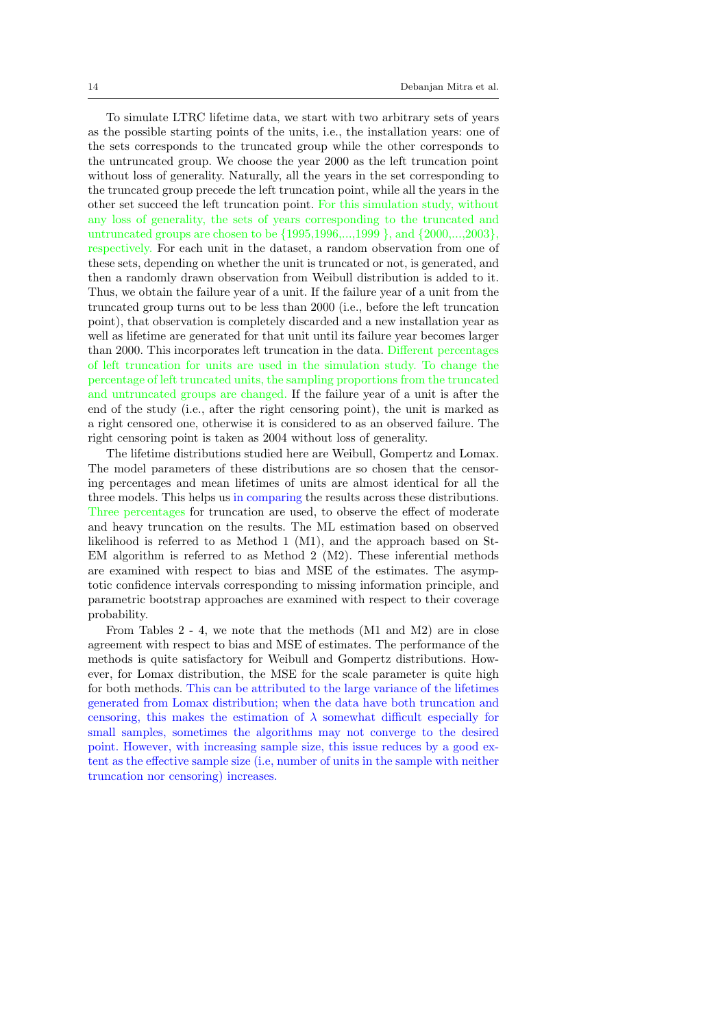To simulate LTRC lifetime data, we start with two arbitrary sets of years as the possible starting points of the units, i.e., the installation years: one of the sets corresponds to the truncated group while the other corresponds to the untruncated group. We choose the year 2000 as the left truncation point without loss of generality. Naturally, all the years in the set corresponding to the truncated group precede the left truncation point, while all the years in the other set succeed the left truncation point. For this simulation study, without any loss of generality, the sets of years corresponding to the truncated and untruncated groups are chosen to be {1995,1996,...,1999 }, and {2000,...,2003}, respectively. For each unit in the dataset, a random observation from one of these sets, depending on whether the unit is truncated or not, is generated, and then a randomly drawn observation from Weibull distribution is added to it. Thus, we obtain the failure year of a unit. If the failure year of a unit from the truncated group turns out to be less than 2000 (i.e., before the left truncation point), that observation is completely discarded and a new installation year as well as lifetime are generated for that unit until its failure year becomes larger than 2000. This incorporates left truncation in the data. Different percentages of left truncation for units are used in the simulation study. To change the percentage of left truncated units, the sampling proportions from the truncated and untruncated groups are changed. If the failure year of a unit is after the end of the study (i.e., after the right censoring point), the unit is marked as a right censored one, otherwise it is considered to as an observed failure. The right censoring point is taken as 2004 without loss of generality.

The lifetime distributions studied here are Weibull, Gompertz and Lomax. The model parameters of these distributions are so chosen that the censoring percentages and mean lifetimes of units are almost identical for all the three models. This helps us in comparing the results across these distributions. Three percentages for truncation are used, to observe the effect of moderate and heavy truncation on the results. The ML estimation based on observed likelihood is referred to as Method 1 (M1), and the approach based on St-EM algorithm is referred to as Method  $2 \, (M2)$ . These inferential methods are examined with respect to bias and MSE of the estimates. The asymptotic confidence intervals corresponding to missing information principle, and parametric bootstrap approaches are examined with respect to their coverage probability.

From Tables 2 - 4, we note that the methods (M1 and M2) are in close agreement with respect to bias and MSE of estimates. The performance of the methods is quite satisfactory for Weibull and Gompertz distributions. However, for Lomax distribution, the MSE for the scale parameter is quite high for both methods. This can be attributed to the large variance of the lifetimes generated from Lomax distribution; when the data have both truncation and censoring, this makes the estimation of  $\lambda$  somewhat difficult especially for small samples, sometimes the algorithms may not converge to the desired point. However, with increasing sample size, this issue reduces by a good extent as the effective sample size (i.e, number of units in the sample with neither truncation nor censoring) increases.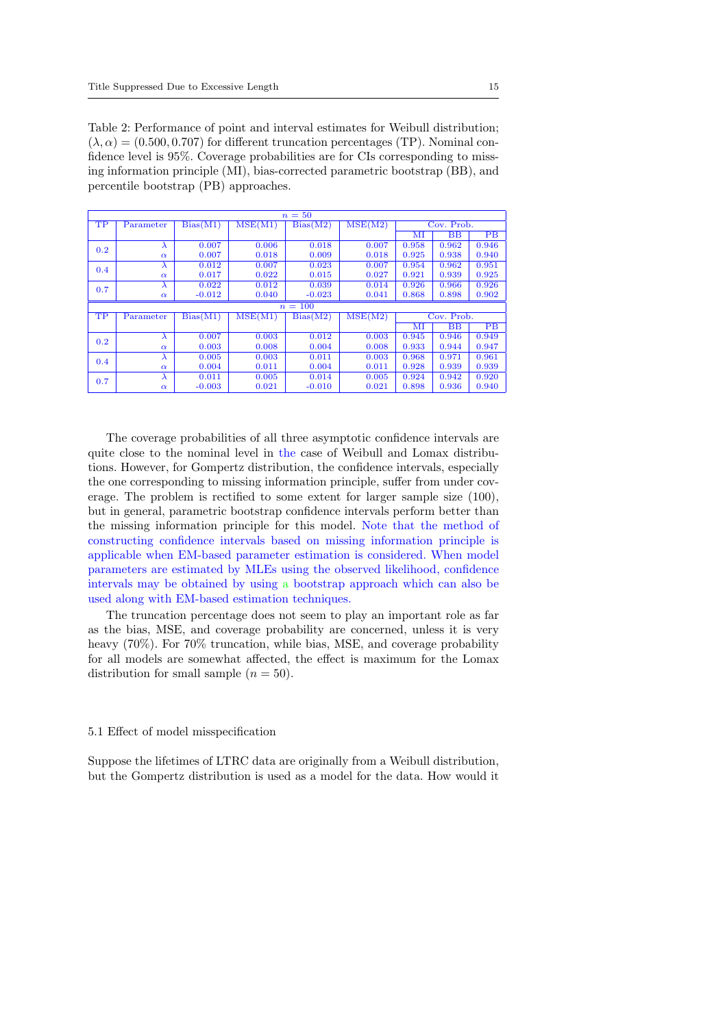Table 2: Performance of point and interval estimates for Weibull distribution;  $(\lambda, \alpha) = (0.500, 0.707)$  for different truncation percentages (TP). Nominal confidence level is 95%. Coverage probabilities are for CIs corresponding to missing information principle (MI), bias-corrected parametric bootstrap (BB), and percentile bootstrap (PB) approaches.

|     | $n=50$    |          |         |                       |         |       |             |                        |  |  |  |
|-----|-----------|----------|---------|-----------------------|---------|-------|-------------|------------------------|--|--|--|
| TP  | Parameter | Bias(M1) | MSE(M1) | Bias(M2)              | MSE(M2) |       | Cov. Prob.  |                        |  |  |  |
|     |           |          |         |                       |         | MI    | BB          | PB                     |  |  |  |
| 0.2 | $\lambda$ | 0.007    | 0.006   | 0.018                 | 0.007   | 0.958 | 0.962       | 0.946                  |  |  |  |
|     | $\alpha$  | 0.007    | 0.018   | 0.009                 | 0.018   | 0.925 | 0.938       | 0.940                  |  |  |  |
| 0.4 | $\lambda$ | 0.012    | 0.007   | 0.023                 | 0.007   | 0.954 | 0.962       | 0.951                  |  |  |  |
|     | $\alpha$  | 0.017    | 0.022   | 0.015                 | 0.027   | 0.921 | 0.939       | 0.925                  |  |  |  |
| 0.7 | λ         | 0.022    | 0.012   | 0.039                 | 0.014   | 0.926 | 0.966       | 0.926                  |  |  |  |
|     | $\alpha$  | $-0.012$ | 0.040   | $-0.023$              | 0.041   | 0.868 | 0.898       | 0.902                  |  |  |  |
|     |           |          |         | $n=100$               |         |       |             |                        |  |  |  |
| TP  | Parameter | Bias(M1) | MSE(M1) | $Bias(\overline{M2})$ | MSE(M2) |       | Cov. Prob.  |                        |  |  |  |
|     |           |          |         |                       |         | МI    | $_{\rm BB}$ | $\overline{\text{PB}}$ |  |  |  |
| 0.2 | $\lambda$ | 0.007    | 0.003   | 0.012                 | 0.003   | 0.945 | 0.946       | 0.949                  |  |  |  |
|     | $\alpha$  | 0.003    | 0.008   | 0.004                 | 0.008   | 0.933 | 0.944       | 0.947                  |  |  |  |
| 0.4 | $\lambda$ | 0.005    | 0.003   | 0.011                 | 0.003   | 0.968 | 0.971       | 0.961                  |  |  |  |
|     | $\alpha$  | 0.004    | 0.011   | 0.004                 | 0.011   | 0.928 | 0.939       | 0.939                  |  |  |  |
| 0.7 | $\lambda$ | 0.011    | 0.005   | 0.014                 | 0.005   | 0.924 | 0.942       | 0.920                  |  |  |  |
|     | $\alpha$  | $-0.003$ | 0.021   | $-0.010$              | 0.021   | 0.898 | 0.936       | 0.940                  |  |  |  |

The coverage probabilities of all three asymptotic confidence intervals are quite close to the nominal level in the case of Weibull and Lomax distributions. However, for Gompertz distribution, the confidence intervals, especially the one corresponding to missing information principle, suffer from under coverage. The problem is rectified to some extent for larger sample size (100), but in general, parametric bootstrap confidence intervals perform better than the missing information principle for this model. Note that the method of constructing confidence intervals based on missing information principle is applicable when EM-based parameter estimation is considered. When model parameters are estimated by MLEs using the observed likelihood, confidence intervals may be obtained by using a bootstrap approach which can also be used along with EM-based estimation techniques.

The truncation percentage does not seem to play an important role as far as the bias, MSE, and coverage probability are concerned, unless it is very heavy (70%). For 70% truncation, while bias, MSE, and coverage probability for all models are somewhat affected, the effect is maximum for the Lomax distribution for small sample  $(n = 50)$ .

#### 5.1 Effect of model misspecification

Suppose the lifetimes of LTRC data are originally from a Weibull distribution, but the Gompertz distribution is used as a model for the data. How would it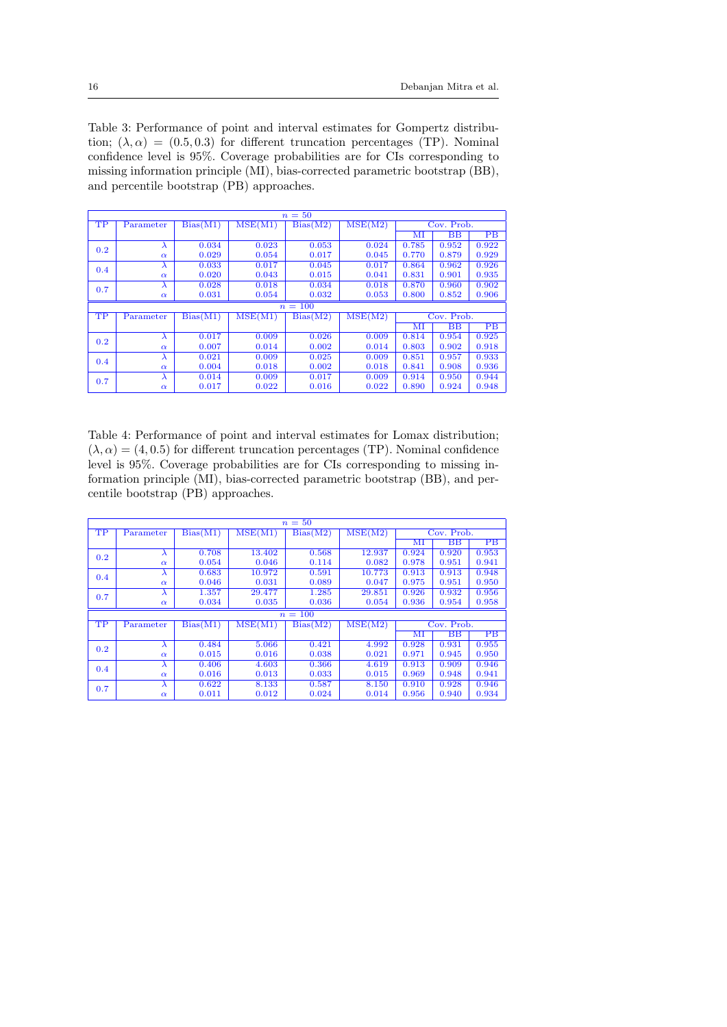Table 3: Performance of point and interval estimates for Gompertz distribution;  $(\lambda, \alpha) = (0.5, 0.3)$  for different truncation percentages (TP). Nominal confidence level is 95%. Coverage probabilities are for CIs corresponding to missing information principle (MI), bias-corrected parametric bootstrap (BB), and percentile bootstrap (PB) approaches.

|     | $n=50$    |          |                             |          |         |              |             |       |  |  |  |
|-----|-----------|----------|-----------------------------|----------|---------|--------------|-------------|-------|--|--|--|
| TP  | Parameter | Bias(M1) | $\overline{\text{MSE}}(M1)$ | Bias(M2) | MSE(M2) |              | Cov. Prob.  |       |  |  |  |
|     |           |          |                             |          |         | МI           | BB          | PB    |  |  |  |
| 0.2 | $\lambda$ | 0.034    | 0.023                       | 0.053    | 0.024   | 0.785        | 0.952       | 0.922 |  |  |  |
|     | $\alpha$  | 0.029    | 0.054                       | 0.017    | 0.045   | 0.770        | 0.879       | 0.929 |  |  |  |
| 0.4 | $\lambda$ | 0.033    | 0.017                       | 0.045    | 0.017   | 0.864        | 0.962       | 0.926 |  |  |  |
|     | $\alpha$  | 0.020    | 0.043                       | 0.015    | 0.041   | 0.831        | 0.901       | 0.935 |  |  |  |
| 0.7 | $\lambda$ | 0.028    | 0.018                       | 0.034    | 0.018   | 0.870        | 0.960       | 0.902 |  |  |  |
|     | $\alpha$  | 0.031    | 0.054                       | 0.032    | 0.053   | 0.800        | 0.852       | 0.906 |  |  |  |
|     |           |          |                             | $n=100$  |         |              |             |       |  |  |  |
| TP  | Parameter | Bias(M1) |                             |          |         |              |             |       |  |  |  |
|     |           |          | MSE(M1)                     | Bias(M2) | MSE(M2) |              | Cov. Prob.  |       |  |  |  |
|     |           |          |                             |          |         | $_{\rm{MI}}$ | $_{\rm BB}$ | PB    |  |  |  |
|     | $\lambda$ | 0.017    | 0.009                       | 0.026    | 0.009   | 0.814        | 0.954       | 0.925 |  |  |  |
| 0.2 | $\alpha$  | 0.007    | 0.014                       | 0.002    | 0.014   | 0.803        | 0.902       | 0.918 |  |  |  |
|     | $\lambda$ | 0.021    | 0.009                       | 0.025    | 0.009   | 0.851        | 0.957       | 0.933 |  |  |  |
| 0.4 | $\alpha$  | 0.004    | 0.018                       | 0.002    | 0.018   | 0.841        | 0.908       | 0.936 |  |  |  |
| 0.7 | $\lambda$ | 0.014    | 0.009                       | 0.017    | 0.009   | 0.914        | 0.950       | 0.944 |  |  |  |

Table 4: Performance of point and interval estimates for Lomax distribution;  $(\lambda, \alpha) = (4, 0.5)$  for different truncation percentages (TP). Nominal confidence level is 95%. Coverage probabilities are for CIs corresponding to missing information principle (MI), bias-corrected parametric bootstrap (BB), and percentile bootstrap (PB) approaches.

|     |           |          |                          | $n=50$    |         |       |                          |                 |  |  |
|-----|-----------|----------|--------------------------|-----------|---------|-------|--------------------------|-----------------|--|--|
| TP  | Parameter | Bias(M1) | $\overline{\rm MSE}(M1)$ | Bias(M2)  | MSE(M2) |       | Cov. Prob.               |                 |  |  |
|     |           |          |                          |           |         | ΜΙ    | $\overline{\mathrm{BB}}$ | PB              |  |  |
| 0.2 | $\lambda$ | 0.708    | 13.402                   | 0.568     | 12.937  | 0.924 | 0.920                    | 0.953           |  |  |
|     | $\alpha$  | 0.054    | 0.046                    | 0.114     | 0.082   | 0.978 | 0.951                    | 0.941           |  |  |
| 0.4 | л         | 0.683    | 10.972                   | 0.591     | 10.773  | 0.913 | 0.913                    | 0.948           |  |  |
|     | $\alpha$  | 0.046    | 0.031                    | 0.089     | 0.047   | 0.975 | 0.951                    | 0.950           |  |  |
| 0.7 | $\lambda$ | 1.357    | 29.477                   | 1.285     | 29.851  | 0.926 | 0.932                    | 0.956           |  |  |
|     | $\alpha$  | 0.034    | 0.035                    | 0.036     | 0.054   | 0.936 | 0.954                    | 0.958           |  |  |
|     |           |          |                          | $n = 100$ |         |       |                          |                 |  |  |
| TP  | Parameter | Bias(M1) | MSE(M1)                  | Bias(M2)  | MSE(M2) |       | Cov. Prob.               |                 |  |  |
|     |           |          |                          |           |         | м     | $\overline{\mathrm{BB}}$ | $\overline{PB}$ |  |  |
| 0.2 | $\lambda$ | 0.484    | 5.066                    | 0.421     | 4.992   | 0.928 | 0.931                    | 0.955           |  |  |
|     | $\alpha$  | 0.015    | 0.016                    | 0.038     | 0.021   | 0.971 | 0.945                    | 0.950           |  |  |
| 0.4 | $\lambda$ | 0.406    | 4.603                    | 0.366     | 4.619   | 0.913 | 0.909                    | 0.946           |  |  |
|     | $\alpha$  | 0.016    | 0.013                    | 0.033     | 0.015   | 0.969 | 0.948                    | 0.941           |  |  |
| 0.7 | л         | 0.622    | 8.133                    | 0.587     | 8.150   | 0.910 | 0.928                    | 0.946           |  |  |
|     | $\alpha$  | 0.011    | 0.012                    | 0.024     | 0.014   | 0.956 | 0.940                    | 0.934           |  |  |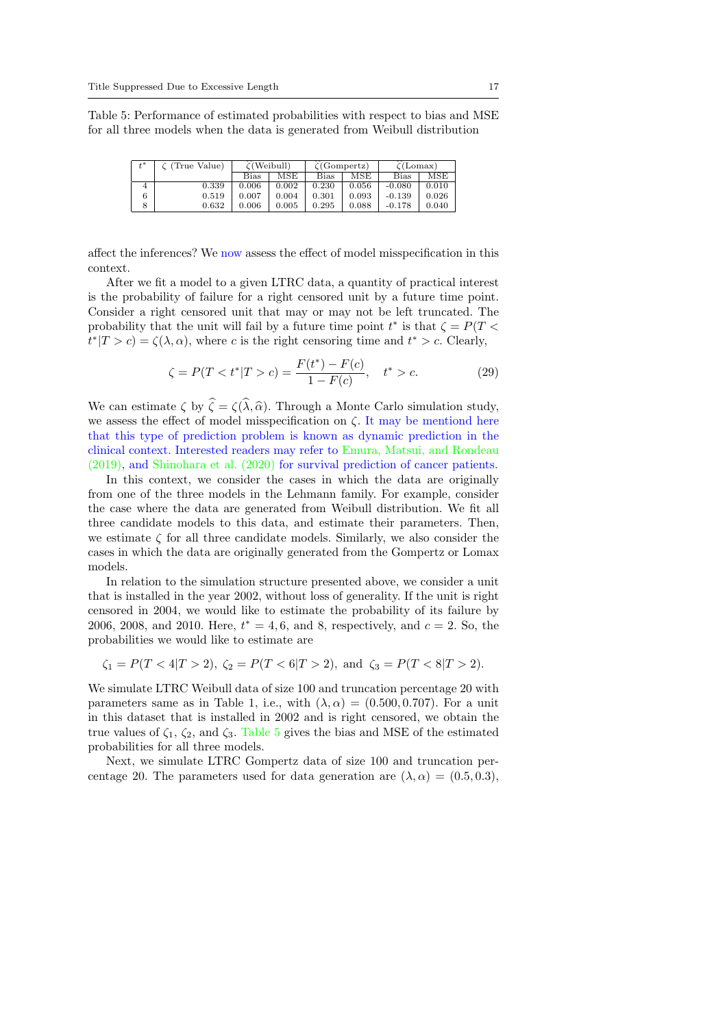Table 5: Performance of estimated probabilities with respect to bias and MSE for all three models when the data is generated from Weibull distribution

| $t^*$ | $\zeta$ (True Value) | $\zeta$ (Weibull) |       | $\zeta$ (Gompertz) |       | $\zeta$ (Lomax) |       |
|-------|----------------------|-------------------|-------|--------------------|-------|-----------------|-------|
|       |                      | Bias              | MSE   | Bias               | MSE   | Bias            | MSE   |
| 4     | 0.339                | 0.006             | 0.002 | 0.230              | 0.056 | $-0.080$        | 0.010 |
| 6     | 0.519                | 0.007             | 0.004 | 0.301              | 0.093 | $-0.139$        | 0.026 |
|       | 0.632                | 0.006             | 0.005 | 0.295              | 0.088 | $-0.178$        | 0.040 |

affect the inferences? We now assess the effect of model misspecification in this context.

After we fit a model to a given LTRC data, a quantity of practical interest is the probability of failure for a right censored unit by a future time point. Consider a right censored unit that may or may not be left truncated. The probability that the unit will fail by a future time point  $t^*$  is that  $\zeta = P(T \leq$  $t^*|T>c\rangle = \zeta(\lambda, \alpha)$ , where c is the right censoring time and  $t^* > c$ . Clearly,

$$
\zeta = P(T < t^* | T > c) = \frac{F(t^*) - F(c)}{1 - F(c)}, \quad t^* > c. \tag{29}
$$

We can estimate  $\zeta$  by  $\hat{\zeta} = \zeta(\hat{\lambda}, \hat{\alpha})$ . Through a Monte Carlo simulation study, we assess the effect of model misspecification on  $\zeta$ . It may be mentiond here that this type of prediction problem is known as dynamic prediction in the clinical context. Interested readers may refer to Emura, Matsui, and Rondeau (2019), and Shinohara et al. (2020) for survival prediction of cancer patients.

In this context, we consider the cases in which the data are originally from one of the three models in the Lehmann family. For example, consider the case where the data are generated from Weibull distribution. We fit all three candidate models to this data, and estimate their parameters. Then, we estimate  $\zeta$  for all three candidate models. Similarly, we also consider the cases in which the data are originally generated from the Gompertz or Lomax models.

In relation to the simulation structure presented above, we consider a unit that is installed in the year 2002, without loss of generality. If the unit is right censored in 2004, we would like to estimate the probability of its failure by 2006, 2008, and 2010. Here,  $t^* = 4, 6$ , and 8, respectively, and  $c = 2$ . So, the probabilities we would like to estimate are

$$
\zeta_1 = P(T < 4|T > 2), \ \zeta_2 = P(T < 6|T > 2), \ \text{and} \ \zeta_3 = P(T < 8|T > 2).
$$

We simulate LTRC Weibull data of size 100 and truncation percentage 20 with parameters same as in Table 1, i.e., with  $(\lambda, \alpha) = (0.500, 0.707)$ . For a unit in this dataset that is installed in 2002 and is right censored, we obtain the true values of  $\zeta_1$ ,  $\zeta_2$ , and  $\zeta_3$ . Table 5 gives the bias and MSE of the estimated probabilities for all three models.

Next, we simulate LTRC Gompertz data of size 100 and truncation percentage 20. The parameters used for data generation are  $(\lambda, \alpha) = (0.5, 0.3)$ ,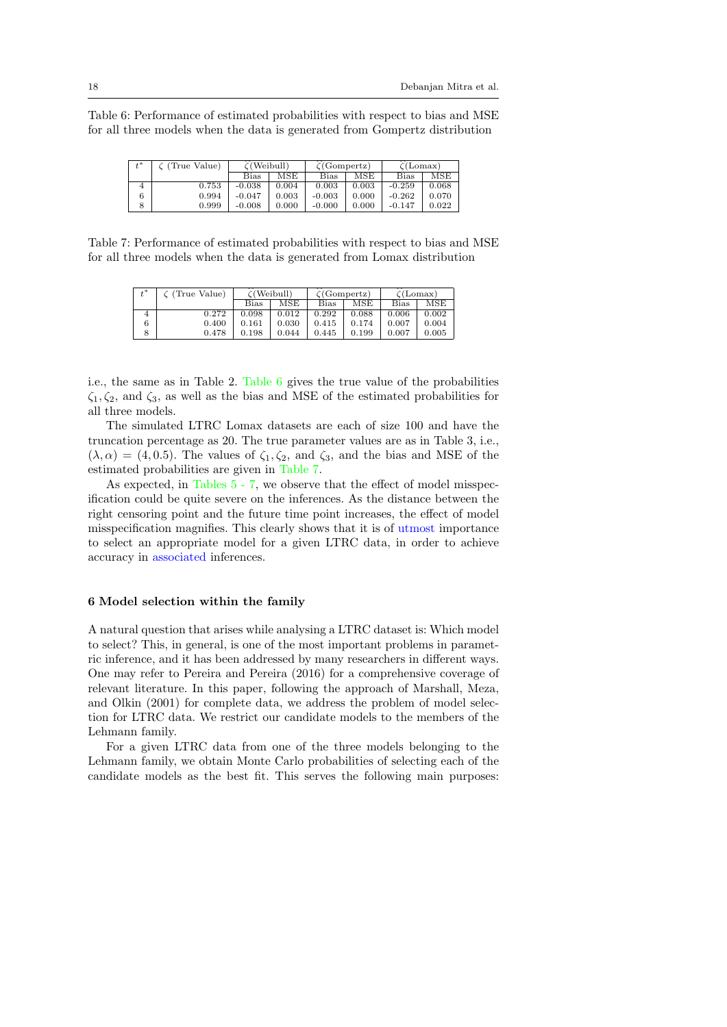Table 6: Performance of estimated probabilities with respect to bias and MSE for all three models when the data is generated from Gompertz distribution

| $t^*$ | (True Value) | $\zeta$ (Weibull) |       | $\zeta$ (Gompertz) |       | $\zeta$ (Lomax) |       |
|-------|--------------|-------------------|-------|--------------------|-------|-----------------|-------|
|       |              | Bias              | MSE   | Bias               | MSE   | Bias            | MSE   |
| 4     | 0.753        | $-0.038$          | 0.004 | 0.003              | 0.003 | $-0.259$        | 0.068 |
|       | 0.994        | $-0.047$          | 0.003 | $-0.003$           | 0.000 | $-0.262$        | 0.070 |
| 8     | 0.999        | $-0.008$          | 0.000 | $-0.000$           | 0.000 | $-0.147$        | 0.022 |

Table 7: Performance of estimated probabilities with respect to bias and MSE for all three models when the data is generated from Lomax distribution

| $t^*$ | C (True Value) | $\zeta$ (Weibull) |       | $\zeta$ (Gompertz) |       | $\zeta$ (Lomax) |       |
|-------|----------------|-------------------|-------|--------------------|-------|-----------------|-------|
|       |                | Bias              | MSE   | Bias               | MSE   | <b>Bias</b>     | MSE   |
|       | 0.272          | 0.098             | 0.012 | 0.292              | 0.088 | 0.006           | 0.002 |
| 6     | 0.400          | 0.161             | 0.030 | 0.415              | 0.174 | 0.007           | 0.004 |
|       | 0.478          | 0.198             | 0.044 | 0.445              | 0.199 | 0.007           | 0.005 |

i.e., the same as in Table 2. Table 6 gives the true value of the probabilities  $\zeta_1, \zeta_2$ , and  $\zeta_3$ , as well as the bias and MSE of the estimated probabilities for all three models.

The simulated LTRC Lomax datasets are each of size 100 and have the truncation percentage as 20. The true parameter values are as in Table 3, i.e.,  $(\lambda, \alpha) = (4, 0.5)$ . The values of  $\zeta_1, \zeta_2$ , and  $\zeta_3$ , and the bias and MSE of the estimated probabilities are given in Table 7.

As expected, in Tables 5 - 7, we observe that the effect of model misspecification could be quite severe on the inferences. As the distance between the right censoring point and the future time point increases, the effect of model misspecification magnifies. This clearly shows that it is of utmost importance to select an appropriate model for a given LTRC data, in order to achieve accuracy in associated inferences.

#### 6 Model selection within the family

A natural question that arises while analysing a LTRC dataset is: Which model to select? This, in general, is one of the most important problems in parametric inference, and it has been addressed by many researchers in different ways. One may refer to Pereira and Pereira (2016) for a comprehensive coverage of relevant literature. In this paper, following the approach of Marshall, Meza, and Olkin (2001) for complete data, we address the problem of model selection for LTRC data. We restrict our candidate models to the members of the Lehmann family.

For a given LTRC data from one of the three models belonging to the Lehmann family, we obtain Monte Carlo probabilities of selecting each of the candidate models as the best fit. This serves the following main purposes: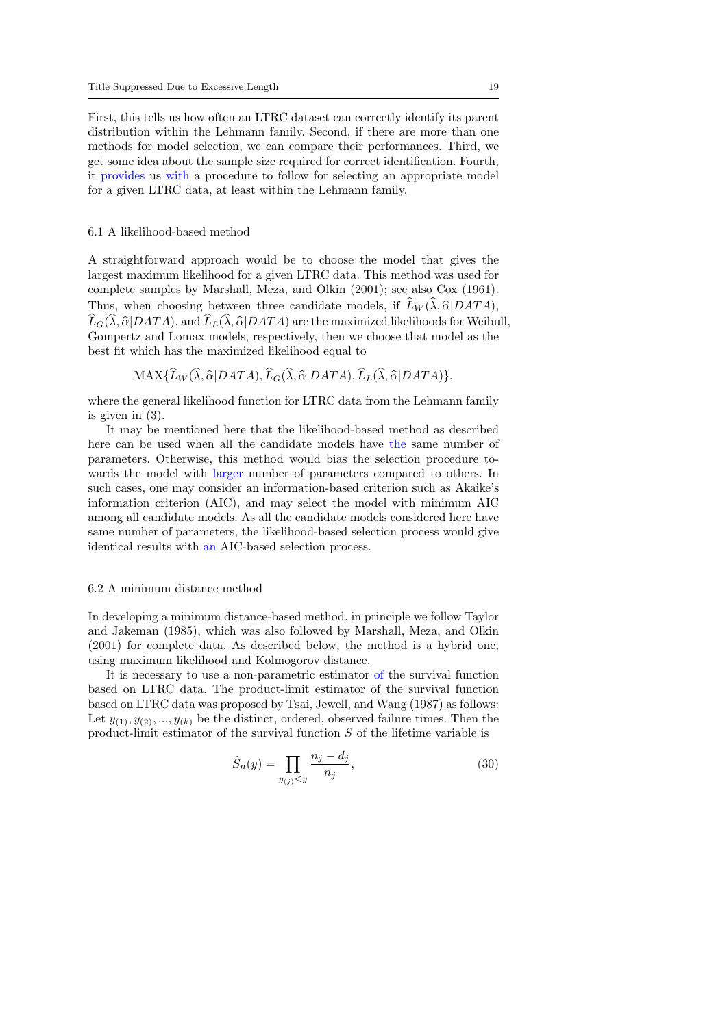First, this tells us how often an LTRC dataset can correctly identify its parent distribution within the Lehmann family. Second, if there are more than one methods for model selection, we can compare their performances. Third, we get some idea about the sample size required for correct identification. Fourth, it provides us with a procedure to follow for selecting an appropriate model for a given LTRC data, at least within the Lehmann family.

#### 6.1 A likelihood-based method

A straightforward approach would be to choose the model that gives the largest maximum likelihood for a given LTRC data. This method was used for complete samples by Marshall, Meza, and Olkin (2001); see also Cox (1961). Thus, when choosing between three candidate models, if  $\widehat{L}_W(\widehat{\lambda}, \widehat{\alpha}|DATA)$ ,  $\widehat{L}_G(\widehat{\lambda}, \widehat{\alpha}|DATA)$ , and  $\widehat{L}_L(\widehat{\lambda}, \widehat{\alpha}|DATA)$  are the maximized likelihoods for Weibull, Gompertz and Lomax models, respectively, then we choose that model as the best fit which has the maximized likelihood equal to

 $MAX{\{\hat{L}_W(\hat{\lambda}, \hat{\alpha}|DATA),\hat{L}_G(\hat{\lambda}, \hat{\alpha}|DATA),\hat{L}_L(\hat{\lambda}, \hat{\alpha}|DATA)\}},$ 

where the general likelihood function for LTRC data from the Lehmann family is given in (3).

It may be mentioned here that the likelihood-based method as described here can be used when all the candidate models have the same number of parameters. Otherwise, this method would bias the selection procedure towards the model with larger number of parameters compared to others. In such cases, one may consider an information-based criterion such as Akaike's information criterion (AIC), and may select the model with minimum AIC among all candidate models. As all the candidate models considered here have same number of parameters, the likelihood-based selection process would give identical results with an AIC-based selection process.

#### 6.2 A minimum distance method

In developing a minimum distance-based method, in principle we follow Taylor and Jakeman (1985), which was also followed by Marshall, Meza, and Olkin (2001) for complete data. As described below, the method is a hybrid one, using maximum likelihood and Kolmogorov distance.

It is necessary to use a non-parametric estimator of the survival function based on LTRC data. The product-limit estimator of the survival function based on LTRC data was proposed by Tsai, Jewell, and Wang (1987) as follows: Let  $y_{(1)}, y_{(2)}, \ldots, y_{(k)}$  be the distinct, ordered, observed failure times. Then the product-limit estimator of the survival function S of the lifetime variable is

$$
\hat{S}_n(y) = \prod_{y_{(j)} < y} \frac{n_j - d_j}{n_j},\tag{30}
$$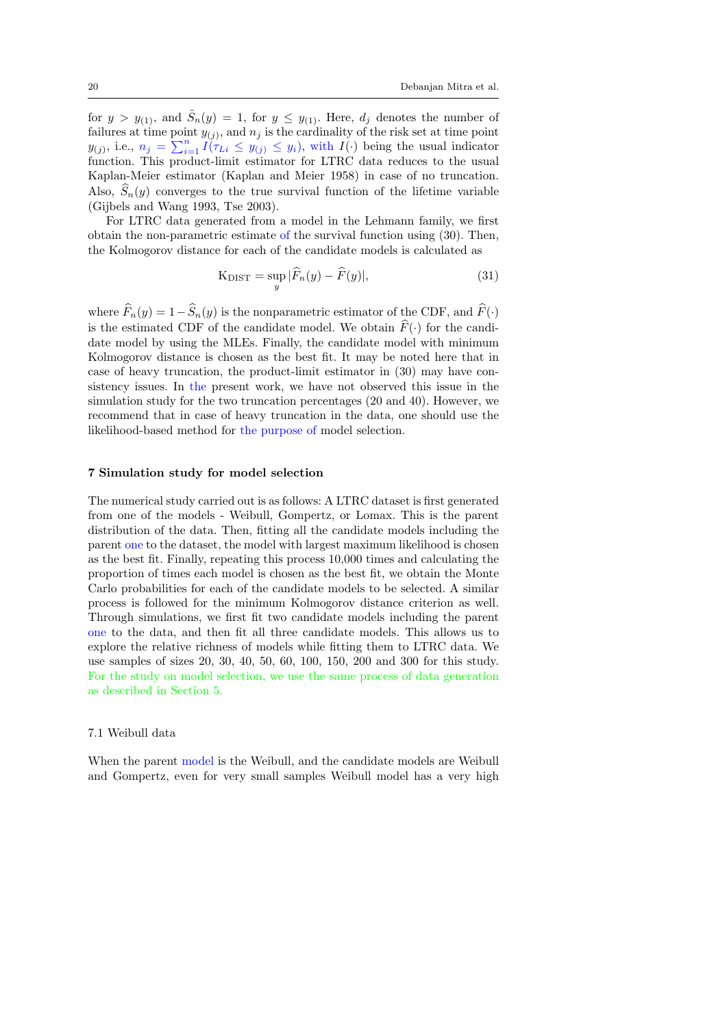for  $y > y_{(1)}$ , and  $\hat{S}_n(y) = 1$ , for  $y \le y_{(1)}$ . Here,  $d_j$  denotes the number of failures at time point  $y_{(j)}$ , and  $n_j$  is the cardinality of the risk set at time point  $y_{(j)}$ , i.e.,  $n_j = \sum_{i=1}^n I(\tau_{Li} \leq y_{(j)} \leq y_i)$ , with  $I(\cdot)$  being the usual indicator function. This product-limit estimator for LTRC data reduces to the usual Kaplan-Meier estimator (Kaplan and Meier 1958) in case of no truncation. Also,  $S_n(y)$  converges to the true survival function of the lifetime variable (Gijbels and Wang 1993, Tse 2003).

For LTRC data generated from a model in the Lehmann family, we first obtain the non-parametric estimate of the survival function using (30). Then, the Kolmogorov distance for each of the candidate models is calculated as

$$
K_{\text{DIST}} = \sup_{y} |\widehat{F}_n(y) - \widehat{F}(y)|,\tag{31}
$$

where  $\widehat{F}_n(y) = 1 - \widehat{S}_n(y)$  is the nonparametric estimator of the CDF, and  $\widehat{F}(\cdot)$ is the estimated CDF of the candidate model. We obtain  $\hat{F}(\cdot)$  for the candidate model by using the MLEs. Finally, the candidate model with minimum Kolmogorov distance is chosen as the best fit. It may be noted here that in case of heavy truncation, the product-limit estimator in (30) may have consistency issues. In the present work, we have not observed this issue in the simulation study for the two truncation percentages (20 and 40). However, we recommend that in case of heavy truncation in the data, one should use the likelihood-based method for the purpose of model selection.

#### 7 Simulation study for model selection

The numerical study carried out is as follows: A LTRC dataset is first generated from one of the models - Weibull, Gompertz, or Lomax. This is the parent distribution of the data. Then, fitting all the candidate models including the parent one to the dataset, the model with largest maximum likelihood is chosen as the best fit. Finally, repeating this process 10,000 times and calculating the proportion of times each model is chosen as the best fit, we obtain the Monte Carlo probabilities for each of the candidate models to be selected. A similar process is followed for the minimum Kolmogorov distance criterion as well. Through simulations, we first fit two candidate models including the parent one to the data, and then fit all three candidate models. This allows us to explore the relative richness of models while fitting them to LTRC data. We use samples of sizes 20, 30, 40, 50, 60, 100, 150, 200 and 300 for this study. For the study on model selection, we use the same process of data generation as described in Section 5.

#### 7.1 Weibull data

When the parent model is the Weibull, and the candidate models are Weibull and Gompertz, even for very small samples Weibull model has a very high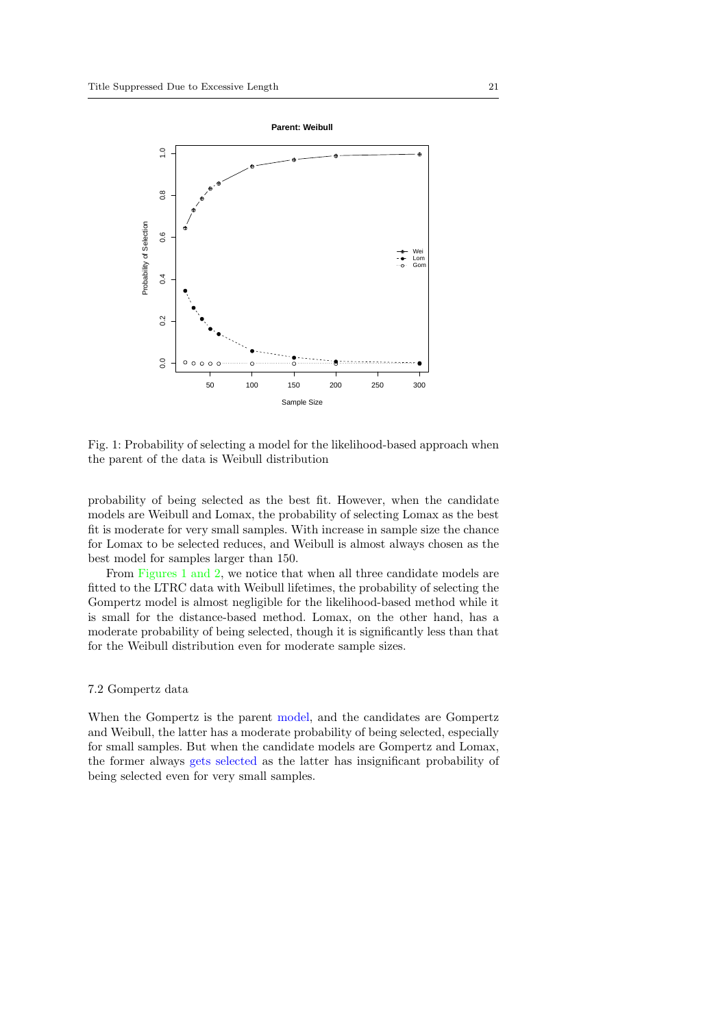

Fig. 1: Probability of selecting a model for the likelihood-based approach when the parent of the data is Weibull distribution

probability of being selected as the best fit. However, when the candidate models are Weibull and Lomax, the probability of selecting Lomax as the best fit is moderate for very small samples. With increase in sample size the chance for Lomax to be selected reduces, and Weibull is almost always chosen as the best model for samples larger than 150.

From Figures 1 and 2, we notice that when all three candidate models are fitted to the LTRC data with Weibull lifetimes, the probability of selecting the Gompertz model is almost negligible for the likelihood-based method while it is small for the distance-based method. Lomax, on the other hand, has a moderate probability of being selected, though it is significantly less than that for the Weibull distribution even for moderate sample sizes.

## 7.2 Gompertz data

When the Gompertz is the parent model, and the candidates are Gompertz and Weibull, the latter has a moderate probability of being selected, especially for small samples. But when the candidate models are Gompertz and Lomax, the former always gets selected as the latter has insignificant probability of being selected even for very small samples.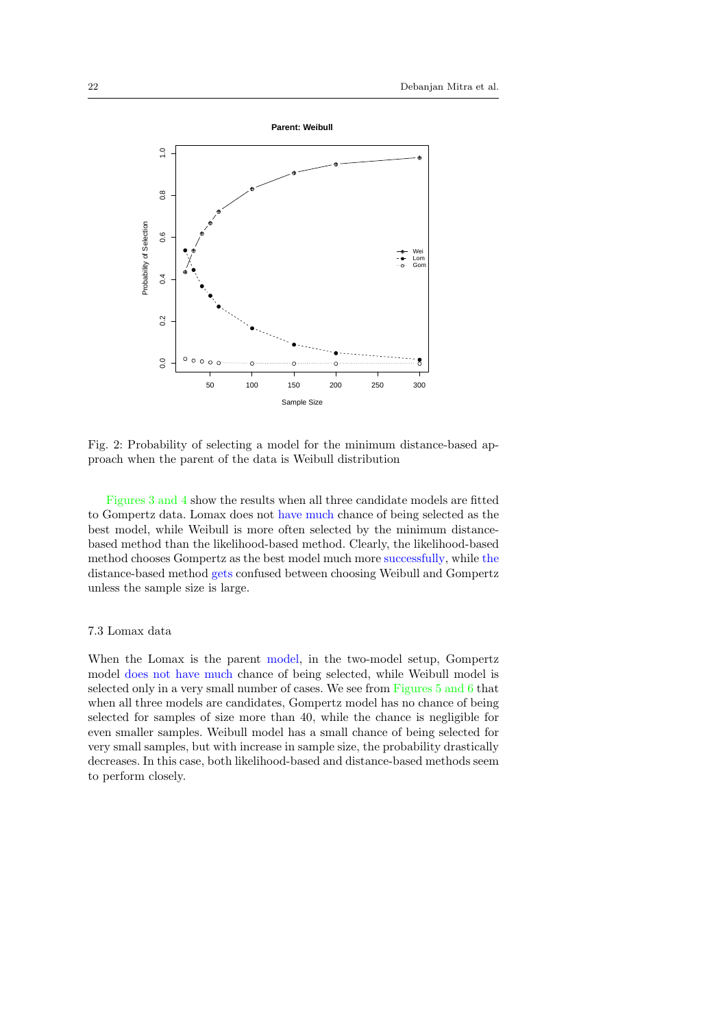

Fig. 2: Probability of selecting a model for the minimum distance-based approach when the parent of the data is Weibull distribution

Figures 3 and 4 show the results when all three candidate models are fitted to Gompertz data. Lomax does not have much chance of being selected as the best model, while Weibull is more often selected by the minimum distancebased method than the likelihood-based method. Clearly, the likelihood-based method chooses Gompertz as the best model much more successfully, while the distance-based method gets confused between choosing Weibull and Gompertz unless the sample size is large.

## 7.3 Lomax data

When the Lomax is the parent model, in the two-model setup, Gompertz model does not have much chance of being selected, while Weibull model is selected only in a very small number of cases. We see from Figures 5 and 6 that when all three models are candidates, Gompertz model has no chance of being selected for samples of size more than 40, while the chance is negligible for even smaller samples. Weibull model has a small chance of being selected for very small samples, but with increase in sample size, the probability drastically decreases. In this case, both likelihood-based and distance-based methods seem to perform closely.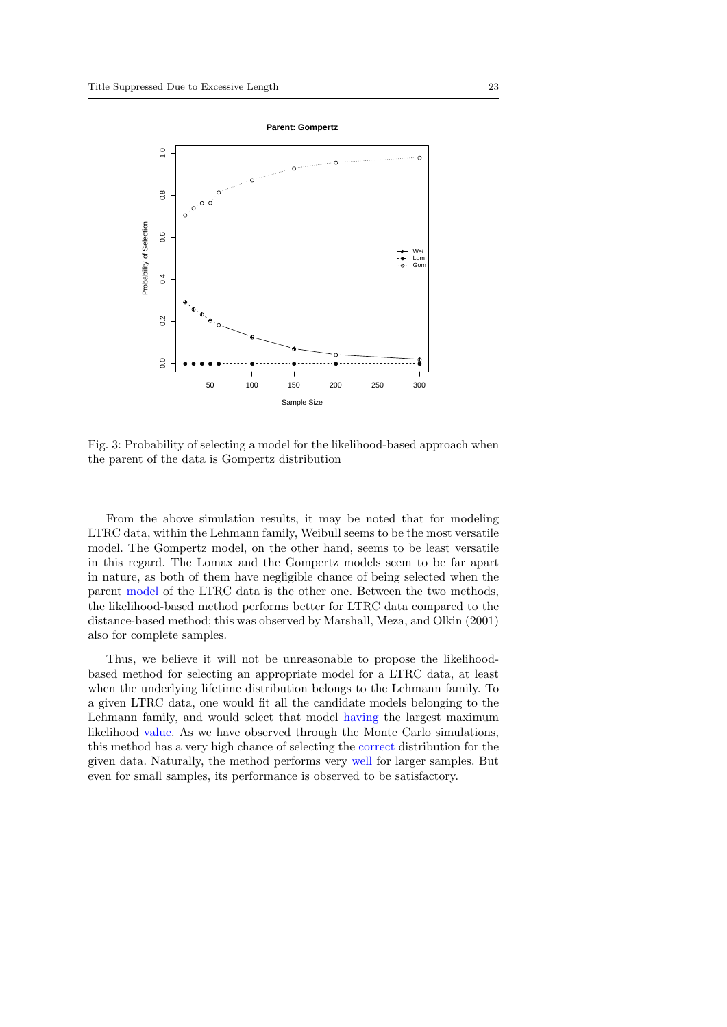

Fig. 3: Probability of selecting a model for the likelihood-based approach when the parent of the data is Gompertz distribution

From the above simulation results, it may be noted that for modeling LTRC data, within the Lehmann family, Weibull seems to be the most versatile model. The Gompertz model, on the other hand, seems to be least versatile in this regard. The Lomax and the Gompertz models seem to be far apart in nature, as both of them have negligible chance of being selected when the parent model of the LTRC data is the other one. Between the two methods, the likelihood-based method performs better for LTRC data compared to the distance-based method; this was observed by Marshall, Meza, and Olkin (2001) also for complete samples.

Thus, we believe it will not be unreasonable to propose the likelihoodbased method for selecting an appropriate model for a LTRC data, at least when the underlying lifetime distribution belongs to the Lehmann family. To a given LTRC data, one would fit all the candidate models belonging to the Lehmann family, and would select that model having the largest maximum likelihood value. As we have observed through the Monte Carlo simulations, this method has a very high chance of selecting the correct distribution for the given data. Naturally, the method performs very well for larger samples. But even for small samples, its performance is observed to be satisfactory.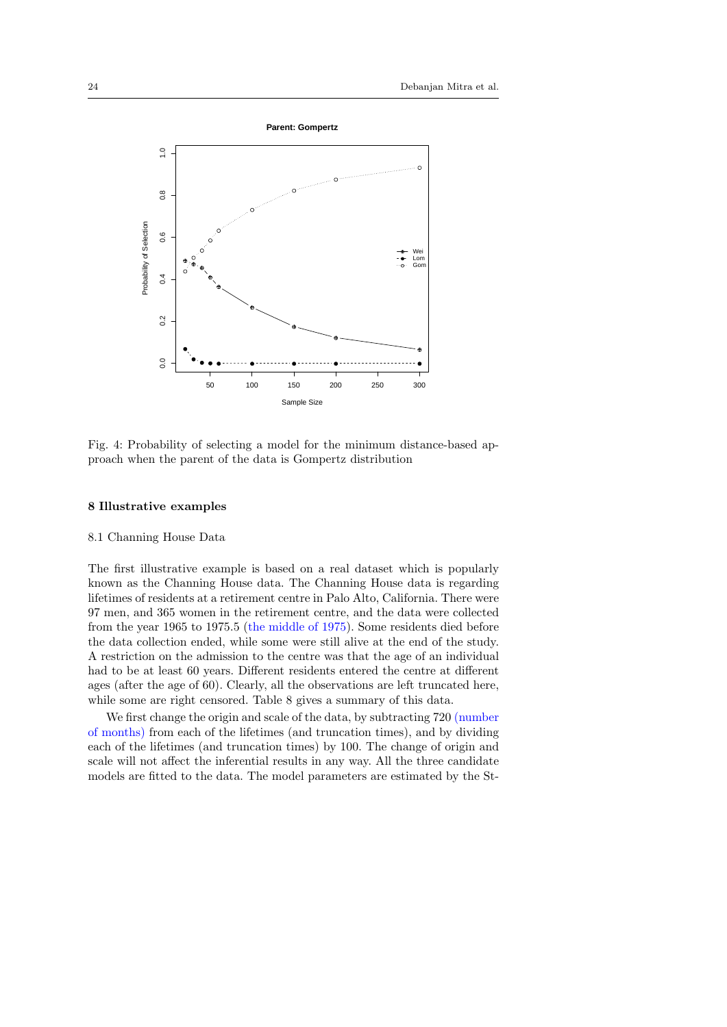

Fig. 4: Probability of selecting a model for the minimum distance-based approach when the parent of the data is Gompertz distribution

#### 8 Illustrative examples

#### 8.1 Channing House Data

The first illustrative example is based on a real dataset which is popularly known as the Channing House data. The Channing House data is regarding lifetimes of residents at a retirement centre in Palo Alto, California. There were 97 men, and 365 women in the retirement centre, and the data were collected from the year 1965 to 1975.5 (the middle of 1975). Some residents died before the data collection ended, while some were still alive at the end of the study. A restriction on the admission to the centre was that the age of an individual had to be at least 60 years. Different residents entered the centre at different ages (after the age of 60). Clearly, all the observations are left truncated here, while some are right censored. Table 8 gives a summary of this data.

We first change the origin and scale of the data, by subtracting 720 (number of months) from each of the lifetimes (and truncation times), and by dividing each of the lifetimes (and truncation times) by 100. The change of origin and scale will not affect the inferential results in any way. All the three candidate models are fitted to the data. The model parameters are estimated by the St-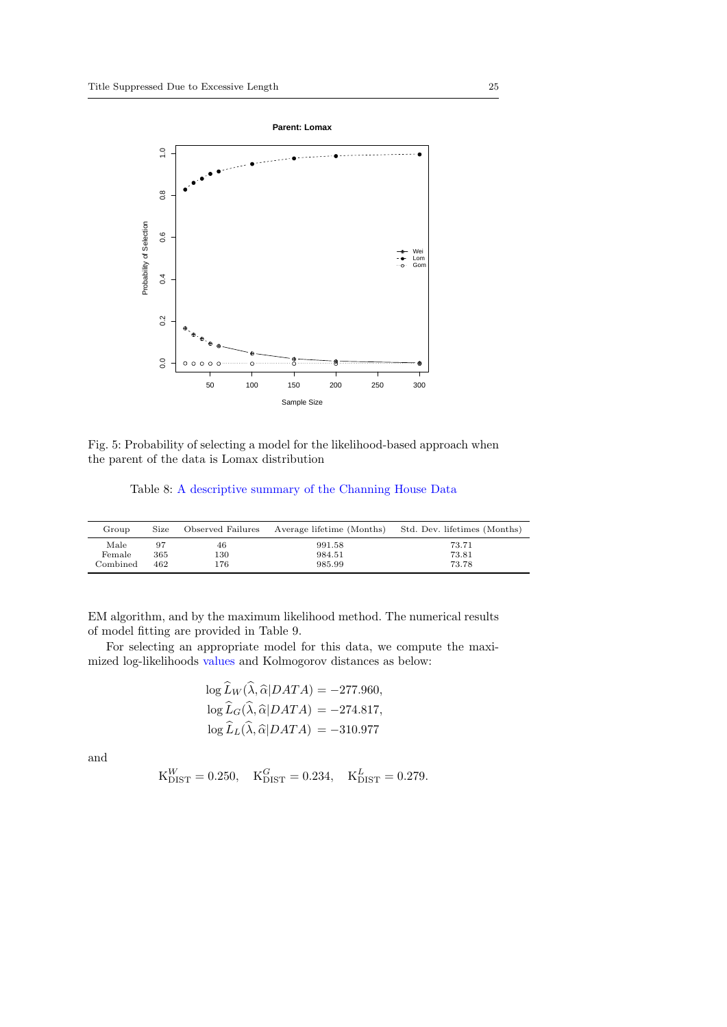

Fig. 5: Probability of selecting a model for the likelihood-based approach when the parent of the data is Lomax distribution

## Table 8: A descriptive summary of the Channing House Data

| Group    | Size | Observed Failures | Average lifetime (Months) | Std. Dev. lifetimes (Months) |
|----------|------|-------------------|---------------------------|------------------------------|
| Male     | 97   | 46                | 991.58                    | 73.71                        |
| Female   | 365  | 130               | 984.51                    | 73.81                        |
| Combined | 462  | 176               | 985.99                    | 73.78                        |

EM algorithm, and by the maximum likelihood method. The numerical results of model fitting are provided in Table 9.

For selecting an appropriate model for this data, we compute the maximized log-likelihoods values and Kolmogorov distances as below:

$$
\log \widehat{L}_W(\widehat{\lambda}, \widehat{\alpha}|DATA) = -277.960,
$$
  

$$
\log \widehat{L}_G(\widehat{\lambda}, \widehat{\alpha}|DATA) = -274.817,
$$
  

$$
\log \widehat{L}_L(\widehat{\lambda}, \widehat{\alpha}|DATA) = -310.977
$$

and

$$
K_{\text{DIST}}^{W} = 0.250
$$
,  $K_{\text{DIST}}^{G} = 0.234$ ,  $K_{\text{DIST}}^{L} = 0.279$ .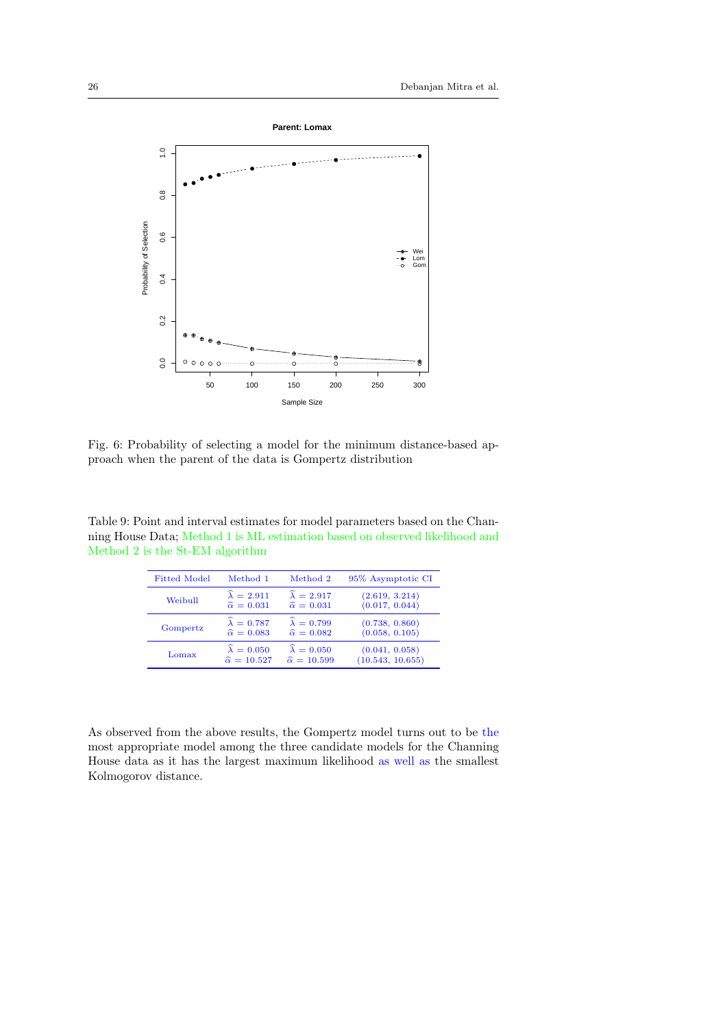

Fig. 6: Probability of selecting a model for the minimum distance-based approach when the parent of the data is Gompertz distribution

Table 9: Point and interval estimates for model parameters based on the Channing House Data; Method 1 is ML estimation based on observed likelihood and Method 2 is the St-EM algorithm

| <b>Fitted Model</b> | Method 1                    | Method 2                    | 95\% Asymptotic CI |
|---------------------|-----------------------------|-----------------------------|--------------------|
| Weibull             | $\widehat{\lambda} = 2.911$ | $\widehat{\lambda} = 2.917$ | (2.619, 3.214)     |
|                     | $\widehat{\alpha} = 0.031$  | $\widehat{\alpha} = 0.031$  | (0.017, 0.044)     |
| Gompertz            | $\widehat{\lambda} = 0.787$ | $\widehat{\lambda} = 0.799$ | (0.738, 0.860)     |
|                     | $\widehat{\alpha} = 0.083$  | $\widehat{\alpha} = 0.082$  | (0.058, 0.105)     |
| Lomax               | $\widehat{\lambda} = 0.050$ | $\widehat{\lambda} = 0.050$ | (0.041, 0.058)     |
|                     | $\widehat{\alpha} = 10.527$ | $\widehat{\alpha} = 10.599$ | (10.543, 10.655)   |

As observed from the above results, the Gompertz model turns out to be the most appropriate model among the three candidate models for the Channing House data as it has the largest maximum likelihood as well as the smallest Kolmogorov distance.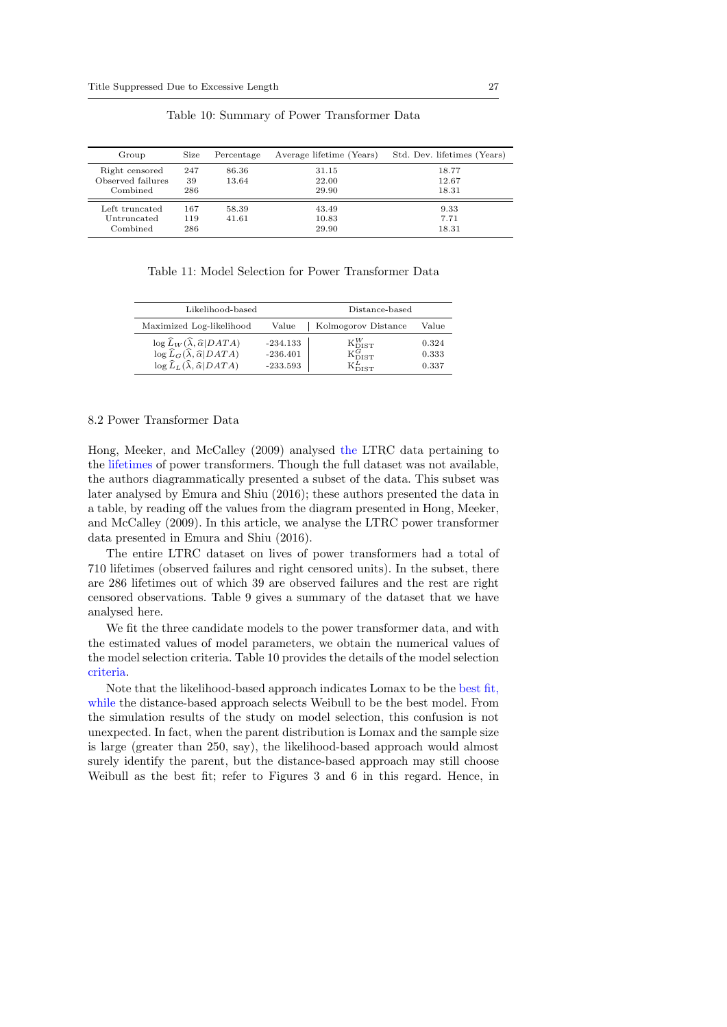| Group                                           | Size              | Percentage     | Average lifetime (Years) | Std. Dev. lifetimes (Years) |
|-------------------------------------------------|-------------------|----------------|--------------------------|-----------------------------|
| Right censored<br>Observed failures<br>Combined | 247<br>39<br>286  | 86.36<br>13.64 | 31.15<br>22.00<br>29.90  | 18.77<br>12.67<br>18.31     |
| Left truncated<br>Untruncated<br>Combined       | 167<br>119<br>286 | 58.39<br>41.61 | 43.49<br>10.83<br>29.90  | 9.33<br>7.71<br>18.31       |

Table 10: Summary of Power Transformer Data

Table 11: Model Selection for Power Transformer Data

| Likelihood-based                                                                                                                                                                                   | Distance-based                         |                                                                                             |                         |
|----------------------------------------------------------------------------------------------------------------------------------------------------------------------------------------------------|----------------------------------------|---------------------------------------------------------------------------------------------|-------------------------|
| Maximized Log-likelihood                                                                                                                                                                           | Value                                  | Kolmogorov Distance                                                                         | Value                   |
| $\log \widehat{L}_W(\widehat{\lambda}, \widehat{\alpha} DATA)$<br>$\log \widehat{L}_G(\widehat{\lambda}, \widehat{\alpha} DATA)$<br>$\log \widehat{L}_L(\widehat{\lambda}, \widehat{\alpha} DATA)$ | $-234.133$<br>$-236.401$<br>$-233.593$ | $K_{\text{DIST}}^{W}$<br>$\mathbf{K}_{\mathrm{DIST}}^{G}$<br>$\mathrm{K}^L_{\mathrm{DIST}}$ | 0.324<br>0.333<br>0.337 |

#### 8.2 Power Transformer Data

Hong, Meeker, and McCalley (2009) analysed the LTRC data pertaining to the lifetimes of power transformers. Though the full dataset was not available, the authors diagrammatically presented a subset of the data. This subset was later analysed by Emura and Shiu (2016); these authors presented the data in a table, by reading off the values from the diagram presented in Hong, Meeker, and McCalley (2009). In this article, we analyse the LTRC power transformer data presented in Emura and Shiu (2016).

The entire LTRC dataset on lives of power transformers had a total of 710 lifetimes (observed failures and right censored units). In the subset, there are 286 lifetimes out of which 39 are observed failures and the rest are right censored observations. Table 9 gives a summary of the dataset that we have analysed here.

We fit the three candidate models to the power transformer data, and with the estimated values of model parameters, we obtain the numerical values of the model selection criteria. Table 10 provides the details of the model selection criteria.

Note that the likelihood-based approach indicates Lomax to be the best fit, while the distance-based approach selects Weibull to be the best model. From the simulation results of the study on model selection, this confusion is not unexpected. In fact, when the parent distribution is Lomax and the sample size is large (greater than 250, say), the likelihood-based approach would almost surely identify the parent, but the distance-based approach may still choose Weibull as the best fit; refer to Figures 3 and 6 in this regard. Hence, in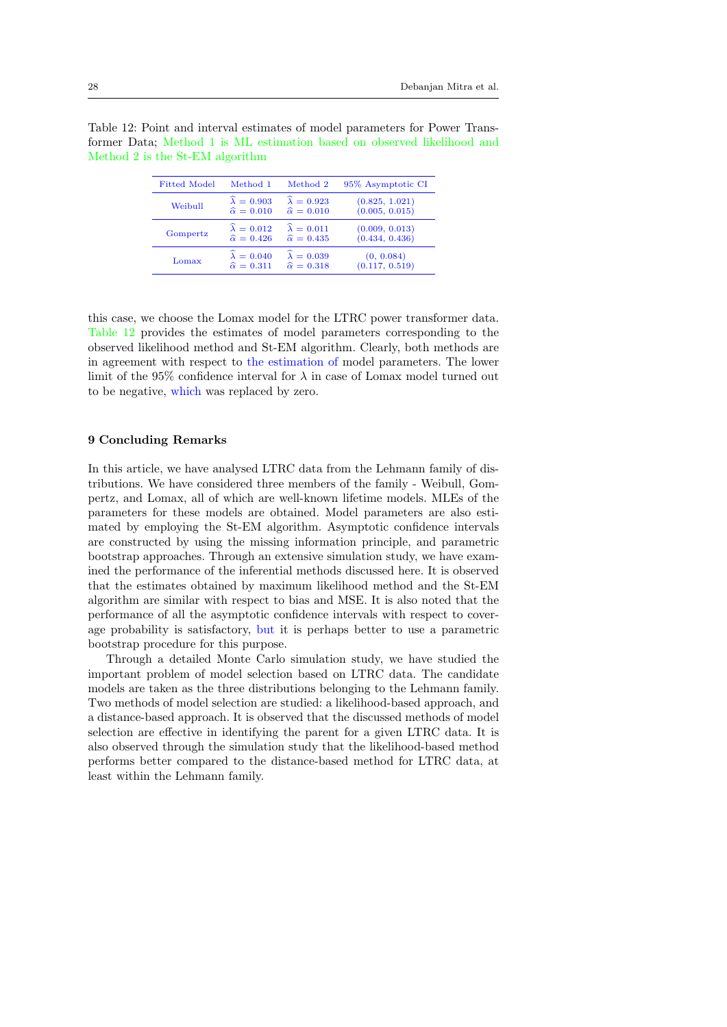Table 12: Point and interval estimates of model parameters for Power Transformer Data; Method 1 is ML estimation based on observed likelihood and Method 2 is the St-EM algorithm

| <b>Fitted Model</b> | Method 1                    | Method 2                    | 95% Asymptotic CI |
|---------------------|-----------------------------|-----------------------------|-------------------|
| Weibull             | $\widehat{\lambda} = 0.903$ | $\widehat{\lambda} = 0.923$ | (0.825, 1.021)    |
|                     | $\widehat{\alpha} = 0.010$  | $\widehat{\alpha} = 0.010$  | (0.005, 0.015)    |
| Gompertz            | $\widehat{\lambda} = 0.012$ | $\widehat{\lambda} = 0.011$ | (0.009, 0.013)    |
|                     | $\widehat{\alpha} = 0.426$  | $\widehat{\alpha} = 0.435$  | (0.434, 0.436)    |
| Lomax               | $\widehat{\lambda} = 0.040$ | $\widehat{\lambda} = 0.039$ | (0, 0.084)        |
|                     | $\widehat{\alpha} = 0.311$  | $\widehat{\alpha} = 0.318$  | (0.117, 0.519)    |

this case, we choose the Lomax model for the LTRC power transformer data. Table 12 provides the estimates of model parameters corresponding to the observed likelihood method and St-EM algorithm. Clearly, both methods are in agreement with respect to the estimation of model parameters. The lower limit of the 95% confidence interval for  $\lambda$  in case of Lomax model turned out to be negative, which was replaced by zero.

#### 9 Concluding Remarks

In this article, we have analysed LTRC data from the Lehmann family of distributions. We have considered three members of the family - Weibull, Gompertz, and Lomax, all of which are well-known lifetime models. MLEs of the parameters for these models are obtained. Model parameters are also estimated by employing the St-EM algorithm. Asymptotic confidence intervals are constructed by using the missing information principle, and parametric bootstrap approaches. Through an extensive simulation study, we have examined the performance of the inferential methods discussed here. It is observed that the estimates obtained by maximum likelihood method and the St-EM algorithm are similar with respect to bias and MSE. It is also noted that the performance of all the asymptotic confidence intervals with respect to coverage probability is satisfactory, but it is perhaps better to use a parametric bootstrap procedure for this purpose.

Through a detailed Monte Carlo simulation study, we have studied the important problem of model selection based on LTRC data. The candidate models are taken as the three distributions belonging to the Lehmann family. Two methods of model selection are studied: a likelihood-based approach, and a distance-based approach. It is observed that the discussed methods of model selection are effective in identifying the parent for a given LTRC data. It is also observed through the simulation study that the likelihood-based method performs better compared to the distance-based method for LTRC data, at least within the Lehmann family.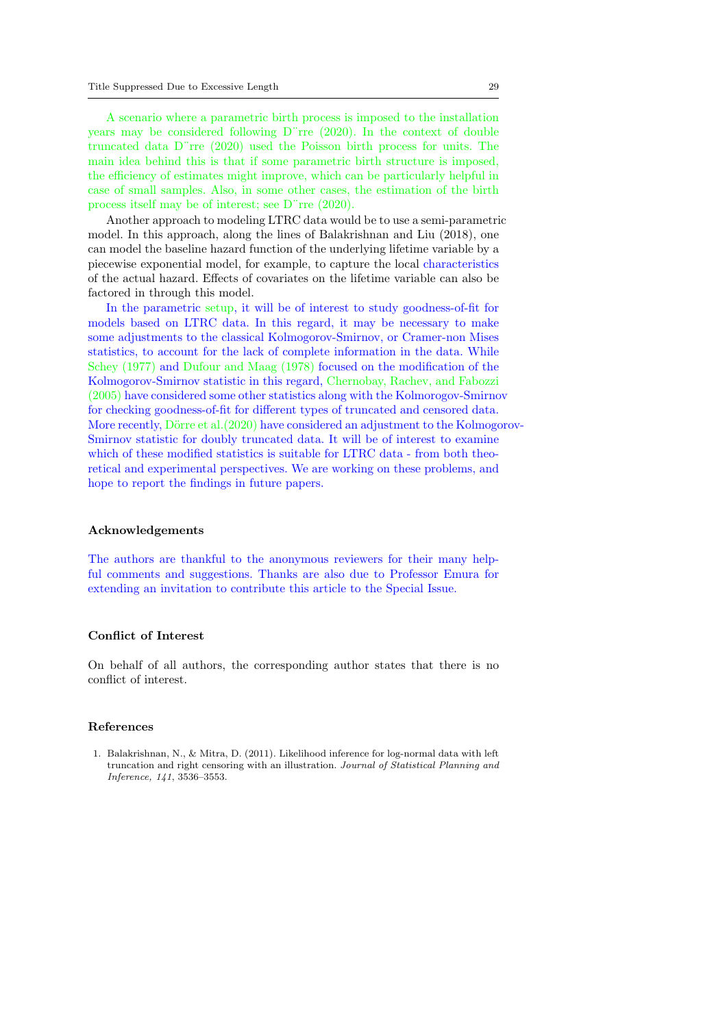A scenario where a parametric birth process is imposed to the installation years may be considered following D¨rre (2020). In the context of double truncated data D¨rre (2020) used the Poisson birth process for units. The main idea behind this is that if some parametric birth structure is imposed, the efficiency of estimates might improve, which can be particularly helpful in case of small samples. Also, in some other cases, the estimation of the birth process itself may be of interest; see D¨rre (2020).

Another approach to modeling LTRC data would be to use a semi-parametric model. In this approach, along the lines of Balakrishnan and Liu (2018), one can model the baseline hazard function of the underlying lifetime variable by a piecewise exponential model, for example, to capture the local characteristics of the actual hazard. Effects of covariates on the lifetime variable can also be factored in through this model.

In the parametric setup, it will be of interest to study goodness-of-fit for models based on LTRC data. In this regard, it may be necessary to make some adjustments to the classical Kolmogorov-Smirnov, or Cramer-non Mises statistics, to account for the lack of complete information in the data. While Schey (1977) and Dufour and Maag (1978) focused on the modification of the Kolmogorov-Smirnov statistic in this regard, Chernobay, Rachev, and Fabozzi (2005) have considered some other statistics along with the Kolmorogov-Smirnov for checking goodness-of-fit for different types of truncated and censored data. More recently, Dörre et al. $(2020)$  have considered an adjustment to the Kolmogorov-Smirnov statistic for doubly truncated data. It will be of interest to examine which of these modified statistics is suitable for LTRC data - from both theoretical and experimental perspectives. We are working on these problems, and hope to report the findings in future papers.

#### Acknowledgements

The authors are thankful to the anonymous reviewers for their many helpful comments and suggestions. Thanks are also due to Professor Emura for extending an invitation to contribute this article to the Special Issue.

## Conflict of Interest

On behalf of all authors, the corresponding author states that there is no conflict of interest.

## References

1. Balakrishnan, N., & Mitra, D. (2011). Likelihood inference for log-normal data with left truncation and right censoring with an illustration. Journal of Statistical Planning and Inference, 141, 3536–3553.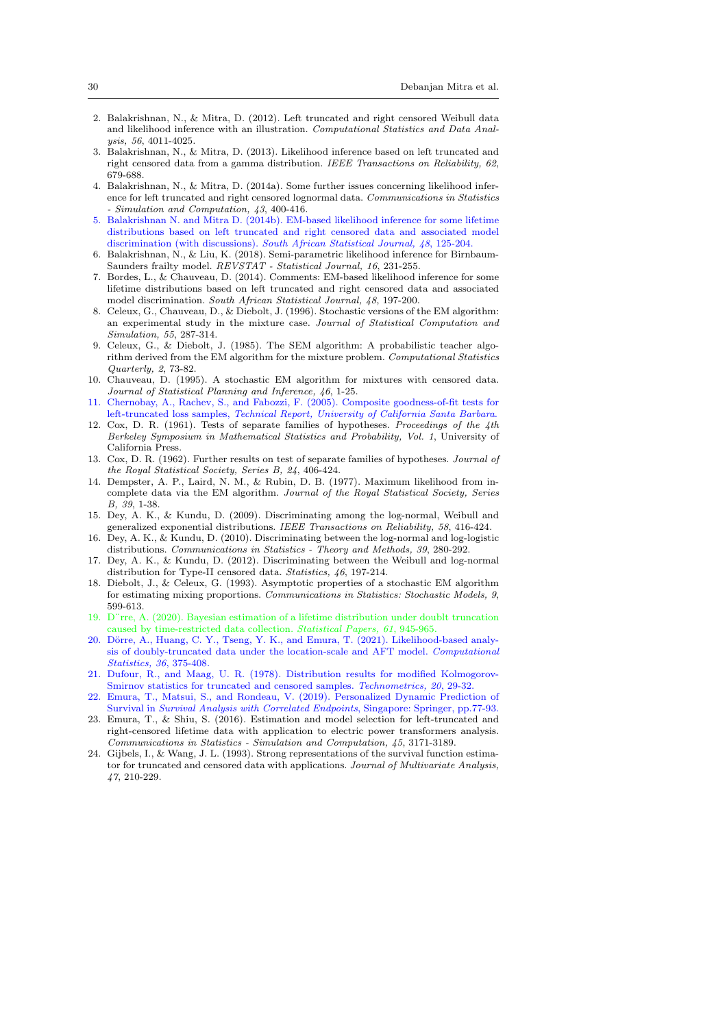- 2. Balakrishnan, N., & Mitra, D. (2012). Left truncated and right censored Weibull data and likelihood inference with an illustration. Computational Statistics and Data Analysis, 56, 4011-4025.
- 3. Balakrishnan, N., & Mitra, D. (2013). Likelihood inference based on left truncated and right censored data from a gamma distribution. IEEE Transactions on Reliability, 62, 679-688.
- 4. Balakrishnan, N., & Mitra, D. (2014a). Some further issues concerning likelihood inference for left truncated and right censored lognormal data. Communications in Statistics - Simulation and Computation, 43, 400-416.
- 5. Balakrishnan N. and Mitra D. (2014b). EM-based likelihood inference for some lifetime distributions based on left truncated and right censored data and associated model discrimination (with discussions). South African Statistical Journal, 48, 125-204.
- 6. Balakrishnan, N., & Liu, K. (2018). Semi-parametric likelihood inference for Birnbaum-Saunders frailty model. REVSTAT - Statistical Journal, 16, 231-255.
- 7. Bordes, L., & Chauveau, D. (2014). Comments: EM-based likelihood inference for some lifetime distributions based on left truncated and right censored data and associated model discrimination. South African Statistical Journal, 48, 197-200.
- 8. Celeux, G., Chauveau, D., & Diebolt, J. (1996). Stochastic versions of the EM algorithm: an experimental study in the mixture case. Journal of Statistical Computation and Simulation, 55, 287-314.
- 9. Celeux, G., & Diebolt, J. (1985). The SEM algorithm: A probabilistic teacher algorithm derived from the EM algorithm for the mixture problem. Computational Statistics Quarterly, 2, 73-82.
- 10. Chauveau, D. (1995). A stochastic EM algorithm for mixtures with censored data. Journal of Statistical Planning and Inference, 46, 1-25.
- 11. Chernobay, A., Rachev, S., and Fabozzi, F. (2005). Composite goodness-of-fit tests for left-truncated loss samples, Technical Report, University of California Santa Barbara.
- 12. Cox, D. R. (1961). Tests of separate families of hypotheses. Proceedings of the 4th Berkeley Symposium in Mathematical Statistics and Probability, Vol. 1, University of California Press.
- 13. Cox, D. R. (1962). Further results on test of separate families of hypotheses. Journal of the Royal Statistical Society, Series B, 24, 406-424.
- 14. Dempster, A. P., Laird, N. M., & Rubin, D. B. (1977). Maximum likelihood from incomplete data via the EM algorithm. Journal of the Royal Statistical Society, Series B, 39, 1-38.
- 15. Dey, A. K., & Kundu, D. (2009). Discriminating among the log-normal, Weibull and generalized exponential distributions. IEEE Transactions on Reliability, 58, 416-424.
- 16. Dey, A. K., & Kundu, D. (2010). Discriminating between the log-normal and log-logistic distributions. Communications in Statistics - Theory and Methods, 39, 280-292.
- Dey, A. K., & Kundu, D. (2012). Discriminating between the Weibull and log-normal distribution for Type-II censored data. Statistics, 46, 197-214.
- 18. Diebolt, J., & Celeux, G. (1993). Asymptotic properties of a stochastic EM algorithm for estimating mixing proportions. Communications in Statistics: Stochastic Models, 9, 599-613.
- 19. D¨rre, A. (2020). Bayesian estimation of a lifetime distribution under doublt truncation caused by time-restricted data collection. Statistical Papers, 61, 945-965.
- 20. Dörre, A., Huang, C. Y., Tseng, Y. K., and Emura, T. (2021). Likelihood-based analysis of doubly-truncated data under the location-scale and AFT model. Computational Statistics, 36, 375-408.
- 21. Dufour, R., and Maag, U. R. (1978). Distribution results for modified Kolmogorov-Smirnov statistics for truncated and censored samples. Technometrics, 20, 29-32.
- 22. Emura, T., Matsui, S., and Rondeau, V. (2019). Personalized Dynamic Prediction of Survival in Survival Analysis with Correlated Endpoints, Singapore: Springer, pp.77-93.
- 23. Emura, T., & Shiu, S. (2016). Estimation and model selection for left-truncated and right-censored lifetime data with application to electric power transformers analysis. Communications in Statistics - Simulation and Computation, 45, 3171-3189.
- 24. Gijbels, I., & Wang, J. L. (1993). Strong representations of the survival function estimator for truncated and censored data with applications. Journal of Multivariate Analysis, 47, 210-229.